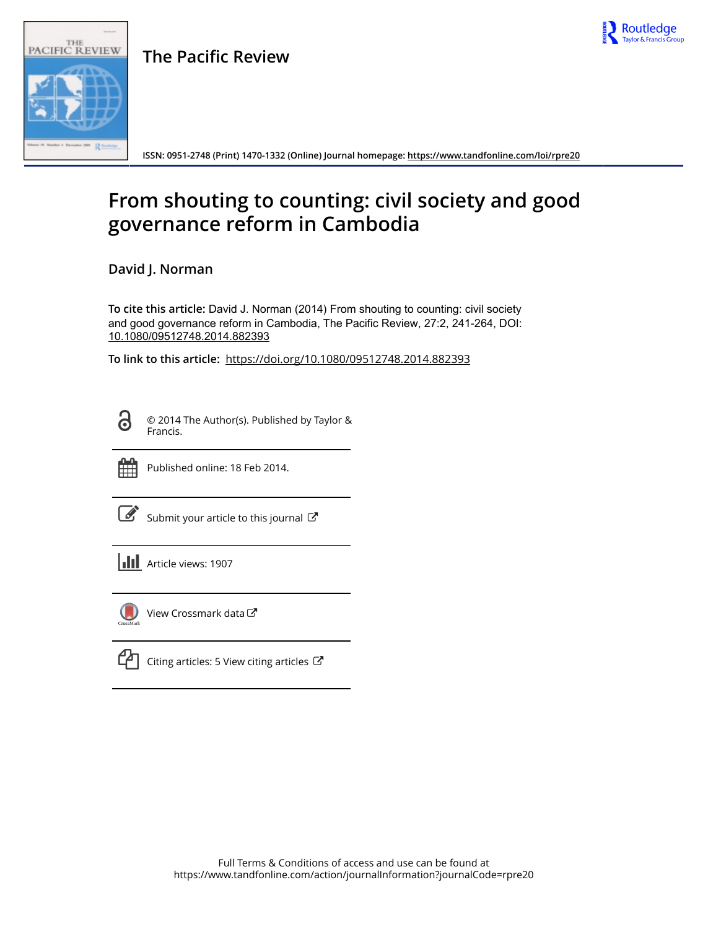

**The Pacific Review**



**ISSN: 0951-2748 (Print) 1470-1332 (Online) Journal homepage:<https://www.tandfonline.com/loi/rpre20>**

# **From shouting to counting: civil society and good governance reform in Cambodia**

**David J. Norman**

**To cite this article:** David J. Norman (2014) From shouting to counting: civil society and good governance reform in Cambodia, The Pacific Review, 27:2, 241-264, DOI: [10.1080/09512748.2014.882393](https://www.tandfonline.com/action/showCitFormats?doi=10.1080/09512748.2014.882393)

**To link to this article:** <https://doi.org/10.1080/09512748.2014.882393>

<u>ය</u>

© 2014 The Author(s). Published by Taylor & Francis.



Published online: 18 Feb 2014.

[Submit your article to this journal](https://www.tandfonline.com/action/authorSubmission?journalCode=rpre20&show=instructions)  $\mathbb{Z}$ 

**III** Article views: 1907



 $\bigcirc$  [View Crossmark data](http://crossmark.crossref.org/dialog/?doi=10.1080/09512748.2014.882393&domain=pdf&date_stamp=2014-02-18) $\mathbb{Z}$ 

 $\mathbb{C}$  [Citing articles: 5 View citing articles](https://www.tandfonline.com/doi/citedby/10.1080/09512748.2014.882393#tabModule)  $\mathbb{C}$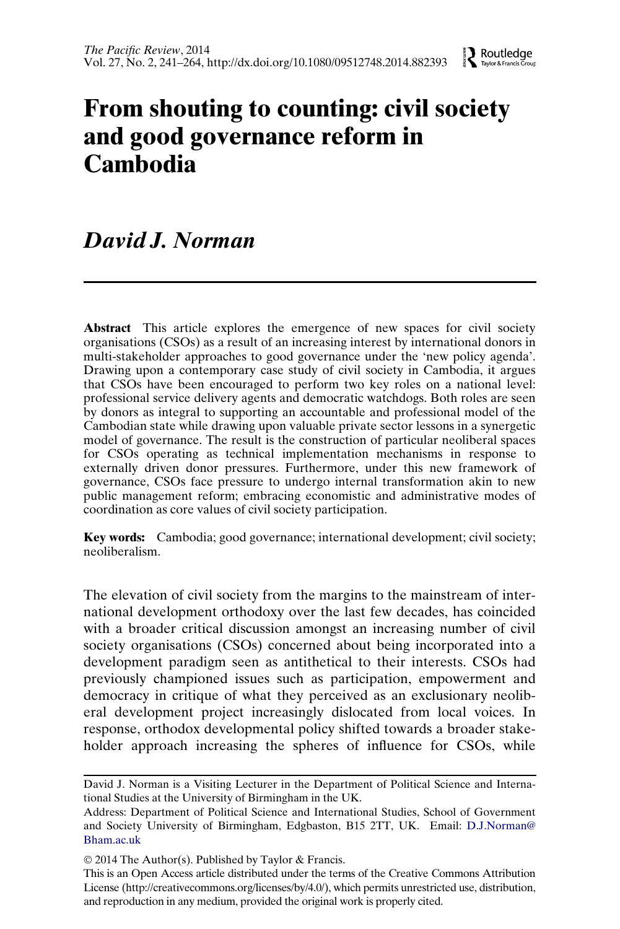## From shouting to counting: civil society and good governance reform in Cambodia

## David J. Norman

Abstract This article explores the emergence of new spaces for civil society organisations (CSOs) as a result of an increasing interest by international donors in multi-stakeholder approaches to good governance under the 'new policy agenda'. Drawing upon a contemporary case study of civil society in Cambodia, it argues that CSOs have been encouraged to perform two key roles on a national level: professional service delivery agents and democratic watchdogs. Both roles are seen by donors as integral to supporting an accountable and professional model of the Cambodian state while drawing upon valuable private sector lessons in a synergetic model of governance. The result is the construction of particular neoliberal spaces for CSOs operating as technical implementation mechanisms in response to externally driven donor pressures. Furthermore, under this new framework of governance, CSOs face pressure to undergo internal transformation akin to new public management reform; embracing economistic and administrative modes of coordination as core values of civil society participation.

Key words: Cambodia; good governance; international development; civil society; neoliberalism.

The elevation of civil society from the margins to the mainstream of international development orthodoxy over the last few decades, has coincided with a broader critical discussion amongst an increasing number of civil society organisations (CSOs) concerned about being incorporated into a development paradigm seen as antithetical to their interests. CSOs had previously championed issues such as participation, empowerment and democracy in critique of what they perceived as an exclusionary neoliberal development project increasingly dislocated from local voices. In response, orthodox developmental policy shifted towards a broader stakeholder approach increasing the spheres of influence for CSOs, while

David J. Norman is a Visiting Lecturer in the Department of Political Science and International Studies at the University of Birmingham in the UK.

Address: Department of Political Science and International Studies, School of Government and Society University of Birmingham, Edgbaston, B15 2TT, UK. Email: [D.J.Norman@](mailto:dadabaev@chiiki.tsukuba.ac.jp) [Bham.ac.uk](mailto:dadabaev@chiiki.tsukuba.ac.jp)

2014 The Author(s). Published by Taylor & Francis.

This is an Open Access article distributed under the terms of the Creative Commons Attribution License [\(http://creativecommons.org/licenses/by/4.0/\)](http://creativecommons.org/licenses/by/4.0/), which permits unrestricted use, distribution, and reproduction in any medium, provided the original work is properly cited.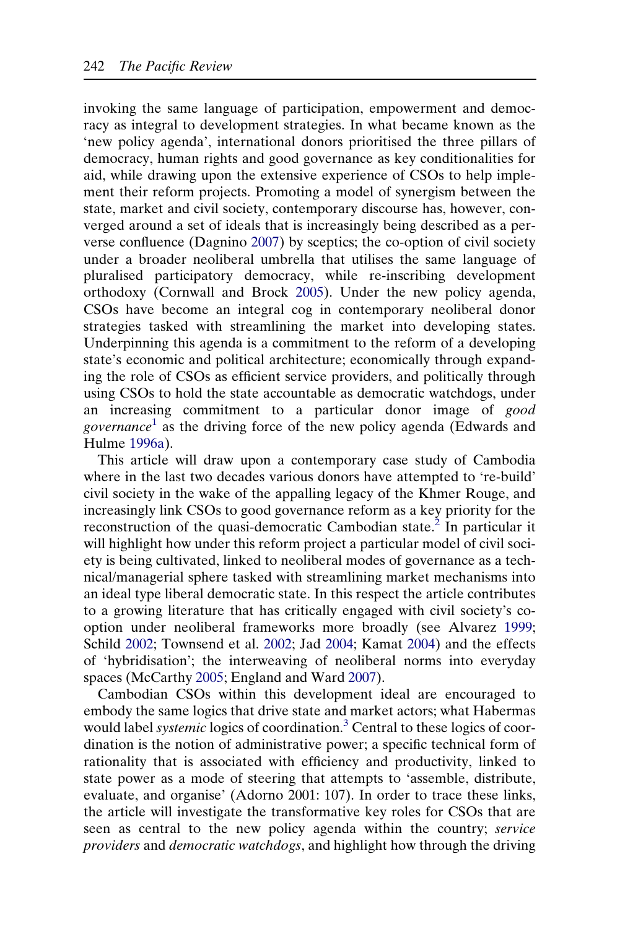invoking the same language of participation, empowerment and democracy as integral to development strategies. In what became known as the 'new policy agenda', international donors prioritised the three pillars of democracy, human rights and good governance as key conditionalities for aid, while drawing upon the extensive experience of CSOs to help implement their reform projects. Promoting a model of synergism between the state, market and civil society, contemporary discourse has, however, converged around a set of ideals that is increasingly being described as a perverse confluence (Dagnino [2007](#page-20-0)) by sceptics; the co-option of civil society under a broader neoliberal umbrella that utilises the same language of pluralised participatory democracy, while re-inscribing development orthodoxy (Cornwall and Brock [2005](#page-20-1)). Under the new policy agenda, CSOs have become an integral cog in contemporary neoliberal donor strategies tasked with streamlining the market into developing states. Underpinning this agenda is a commitment to the reform of a developing state's economic and political architecture; economically through expanding the role of CSOs as efficient service providers, and politically through using CSOs to hold the state accountable as democratic watchdogs, under an increasing commitment to a particular donor image of good governance<sup>[1](#page-19-0)</sup> as the driving force of the new policy agenda (Edwards and Hulme [1996a](#page-20-2)).

This article will draw upon a contemporary case study of Cambodia where in the last two decades various donors have attempted to 're-build' civil society in the wake of the appalling legacy of the Khmer Rouge, and increasingly link CSOs to good governance reform as a key priority for the reconstruction of the quasi-democratic Cambodian state.<sup>[2](#page-19-1)</sup> In particular it will highlight how under this reform project a particular model of civil society is being cultivated, linked to neoliberal modes of governance as a technical/managerial sphere tasked with streamlining market mechanisms into an ideal type liberal democratic state. In this respect the article contributes to a growing literature that has critically engaged with civil society's cooption under neoliberal frameworks more broadly (see Alvarez [1999](#page-20-3); Schild [2002;](#page-23-0) Townsend et al. [2002](#page-23-1); Jad [2004](#page-22-0); Kamat [2004\)](#page-22-1) and the effects of 'hybridisation'; the interweaving of neoliberal norms into everyday spaces (McCarthy [2005;](#page-22-2) England and Ward [2007\)](#page-21-0).

Cambodian CSOs within this development ideal are encouraged to embody the same logics that drive state and market actors; what Habermas would label systemic logics of coordination.<sup>[3](#page-19-2)</sup> Central to these logics of coordination is the notion of administrative power; a specific technical form of rationality that is associated with efficiency and productivity, linked to state power as a mode of steering that attempts to 'assemble, distribute, evaluate, and organise' (Adorno 2001: 107). In order to trace these links, the article will investigate the transformative key roles for CSOs that are seen as central to the new policy agenda within the country; service providers and democratic watchdogs, and highlight how through the driving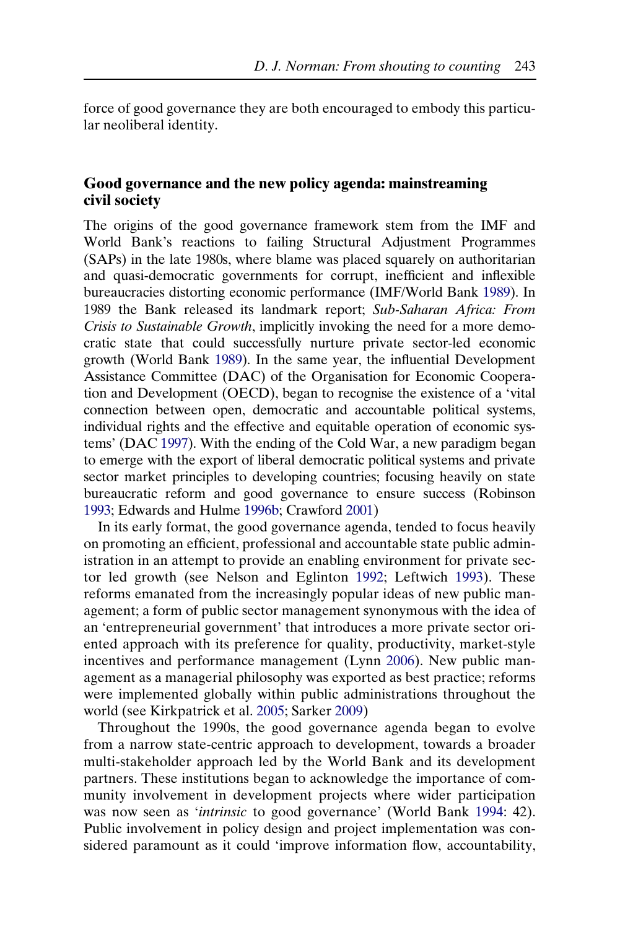force of good governance they are both encouraged to embody this particular neoliberal identity.

## Good governance and the new policy agenda: mainstreaming civil society

The origins of the good governance framework stem from the IMF and World Bank's reactions to failing Structural Adjustment Programmes (SAPs) in the late 1980s, where blame was placed squarely on authoritarian and quasi-democratic governments for corrupt, inefficient and inflexible bureaucracies distorting economic performance (IMF/World Bank [1989](#page-23-2)). In 1989 the Bank released its landmark report; Sub-Saharan Africa: From Crisis to Sustainable Growth, implicitly invoking the need for a more democratic state that could successfully nurture private sector-led economic growth (World Bank [1989\)](#page-23-2). In the same year, the influential Development Assistance Committee (DAC) of the Organisation for Economic Cooperation and Development (OECD), began to recognise the existence of a 'vital connection between open, democratic and accountable political systems, individual rights and the effective and equitable operation of economic systems' (DAC [1997](#page-20-4)). With the ending of the Cold War, a new paradigm began to emerge with the export of liberal democratic political systems and private sector market principles to developing countries; focusing heavily on state bureaucratic reform and good governance to ensure success (Robinson [1993](#page-23-3); Edwards and Hulme [1996b](#page-20-5); Crawford [2001\)](#page-20-6)

In its early format, the good governance agenda, tended to focus heavily on promoting an efficient, professional and accountable state public administration in an attempt to provide an enabling environment for private sector led growth (see Nelson and Eglinton [1992;](#page-22-3) Leftwich [1993\)](#page-22-4). These reforms emanated from the increasingly popular ideas of new public management; a form of public sector management synonymous with the idea of an 'entrepreneurial government' that introduces a more private sector oriented approach with its preference for quality, productivity, market-style incentives and performance management (Lynn [2006\)](#page-22-5). New public management as a managerial philosophy was exported as best practice; reforms were implemented globally within public administrations throughout the world (see Kirkpatrick et al. [2005](#page-22-6); Sarker [2009](#page-23-4))

Throughout the 1990s, the good governance agenda began to evolve from a narrow state-centric approach to development, towards a broader multi-stakeholder approach led by the World Bank and its development partners. These institutions began to acknowledge the importance of community involvement in development projects where wider participation was now seen as 'intrinsic to good governance' (World Bank [1994](#page-23-5): 42). Public involvement in policy design and project implementation was considered paramount as it could 'improve information flow, accountability,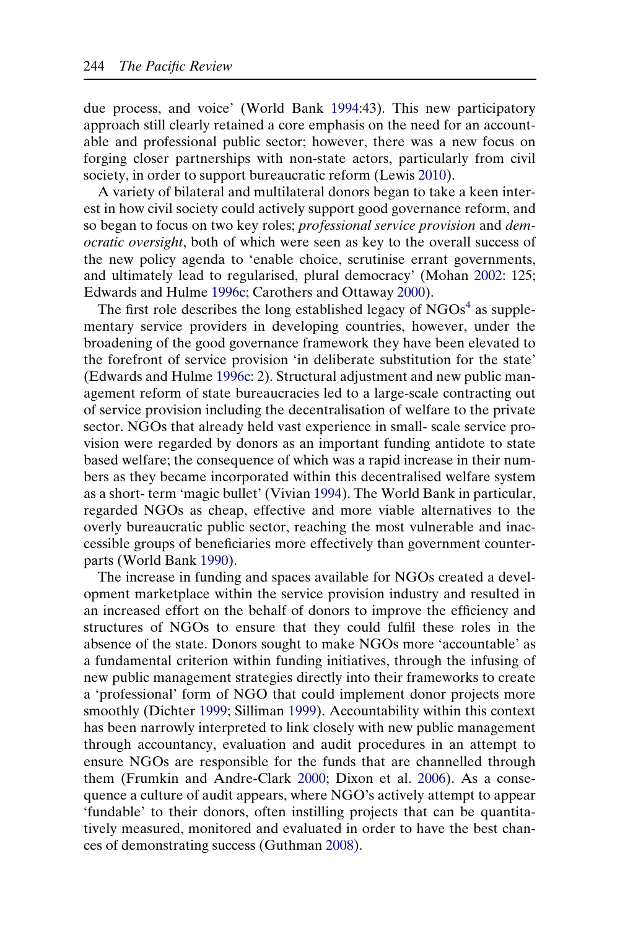due process, and voice' (World Bank [1994](#page-23-5):43). This new participatory approach still clearly retained a core emphasis on the need for an accountable and professional public sector; however, there was a new focus on forging closer partnerships with non-state actors, particularly from civil society, in order to support bureaucratic reform (Lewis [2010\)](#page-22-7).

A variety of bilateral and multilateral donors began to take a keen interest in how civil society could actively support good governance reform, and so began to focus on two key roles; *professional service provision* and *dem*ocratic oversight, both of which were seen as key to the overall success of the new policy agenda to 'enable choice, scrutinise errant governments, and ultimately lead to regularised, plural democracy' (Mohan [2002:](#page-22-8) 125; Edwards and Hulme [1996c](#page-20-7); Carothers and Ottaway [2000\)](#page-20-8).

The first role describes the long established legacy of  $\overline{NGOs}^4$  $\overline{NGOs}^4$  as supplementary service providers in developing countries, however, under the broadening of the good governance framework they have been elevated to the forefront of service provision 'in deliberate substitution for the state' (Edwards and Hulme [1996c:](#page-20-7) 2). Structural adjustment and new public management reform of state bureaucracies led to a large-scale contracting out of service provision including the decentralisation of welfare to the private sector. NGOs that already held vast experience in small- scale service provision were regarded by donors as an important funding antidote to state based welfare; the consequence of which was a rapid increase in their numbers as they became incorporated within this decentralised welfare system as a short- term 'magic bullet' (Vivian [1994](#page-23-6)). The World Bank in particular, regarded NGOs as cheap, effective and more viable alternatives to the overly bureaucratic public sector, reaching the most vulnerable and inaccessible groups of beneficiaries more effectively than government counterparts (World Bank [1990](#page-23-7)).

The increase in funding and spaces available for NGOs created a development marketplace within the service provision industry and resulted in an increased effort on the behalf of donors to improve the efficiency and structures of NGOs to ensure that they could fulfil these roles in the absence of the state. Donors sought to make NGOs more 'accountable' as a fundamental criterion within funding initiatives, through the infusing of new public management strategies directly into their frameworks to create a 'professional' form of NGO that could implement donor projects more smoothly (Dichter [1999](#page-20-9); Silliman [1999\)](#page-23-8). Accountability within this context has been narrowly interpreted to link closely with new public management through accountancy, evaluation and audit procedures in an attempt to ensure NGOs are responsible for the funds that are channelled through them (Frumkin and Andre-Clark [2000;](#page-21-1) Dixon et al. [2006](#page-20-10)). As a consequence a culture of audit appears, where NGO's actively attempt to appear 'fundable' to their donors, often instilling projects that can be quantitatively measured, monitored and evaluated in order to have the best chances of demonstrating success (Guthman [2008\)](#page-21-2).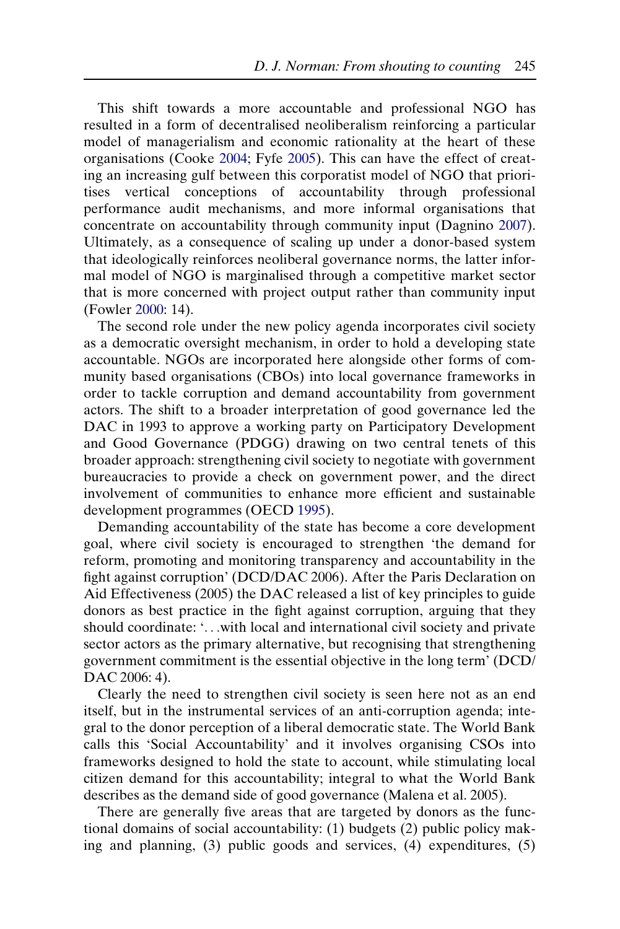This shift towards a more accountable and professional NGO has resulted in a form of decentralised neoliberalism reinforcing a particular model of managerialism and economic rationality at the heart of these organisations (Cooke [2004;](#page-20-11) Fyfe [2005\)](#page-21-3). This can have the effect of creating an increasing gulf between this corporatist model of NGO that prioritises vertical conceptions of accountability through professional performance audit mechanisms, and more informal organisations that concentrate on accountability through community input (Dagnino [2007](#page-20-0)). Ultimately, as a consequence of scaling up under a donor-based system that ideologically reinforces neoliberal governance norms, the latter informal model of NGO is marginalised through a competitive market sector that is more concerned with project output rather than community input (Fowler [2000:](#page-21-4) 14).

The second role under the new policy agenda incorporates civil society as a democratic oversight mechanism, in order to hold a developing state accountable. NGOs are incorporated here alongside other forms of community based organisations (CBOs) into local governance frameworks in order to tackle corruption and demand accountability from government actors. The shift to a broader interpretation of good governance led the DAC in 1993 to approve a working party on Participatory Development and Good Governance (PDGG) drawing on two central tenets of this broader approach: strengthening civil society to negotiate with government bureaucracies to provide a check on government power, and the direct involvement of communities to enhance more efficient and sustainable development programmes (OECD [1995](#page-22-9)).

Demanding accountability of the state has become a core development goal, where civil society is encouraged to strengthen 'the demand for reform, promoting and monitoring transparency and accountability in the fight against corruption' (DCD/DAC 2006). After the Paris Declaration on Aid Effectiveness (2005) the DAC released a list of key principles to guide donors as best practice in the fight against corruption, arguing that they should coordinate: '...with local and international civil society and private sector actors as the primary alternative, but recognising that strengthening government commitment is the essential objective in the long term' (DCD/ DAC 2006: 4).

Clearly the need to strengthen civil society is seen here not as an end itself, but in the instrumental services of an anti-corruption agenda; integral to the donor perception of a liberal democratic state. The World Bank calls this 'Social Accountability' and it involves organising CSOs into frameworks designed to hold the state to account, while stimulating local citizen demand for this accountability; integral to what the World Bank describes as the demand side of good governance (Malena et al. 2005).

There are generally five areas that are targeted by donors as the functional domains of social accountability: (1) budgets (2) public policy making and planning, (3) public goods and services, (4) expenditures, (5)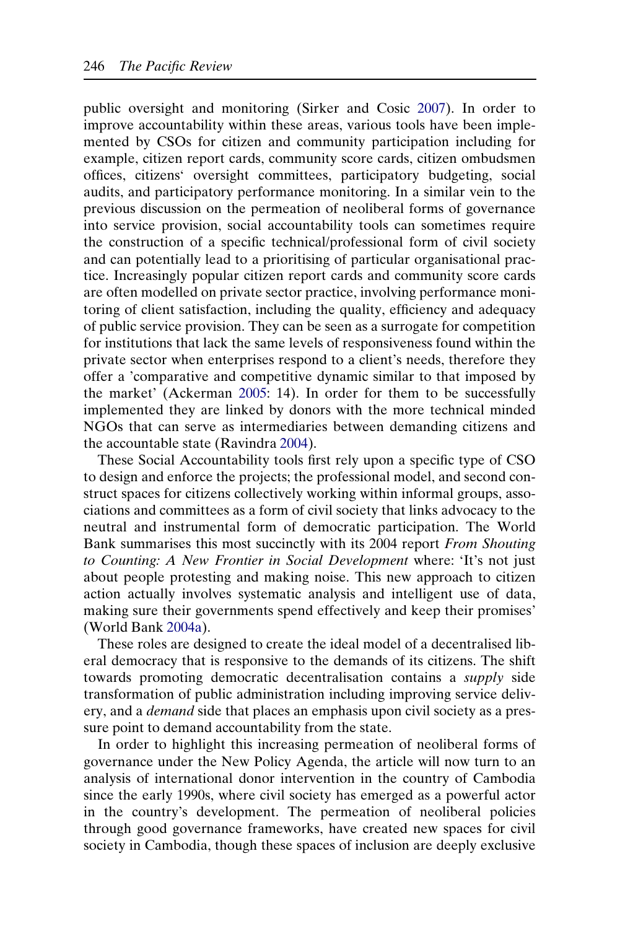public oversight and monitoring (Sirker and Cosic [2007](#page-23-9)). In order to improve accountability within these areas, various tools have been implemented by CSOs for citizen and community participation including for example, citizen report cards, community score cards, citizen ombudsmen offices, citizens' oversight committees, participatory budgeting, social audits, and participatory performance monitoring. In a similar vein to the previous discussion on the permeation of neoliberal forms of governance into service provision, social accountability tools can sometimes require the construction of a specific technical/professional form of civil society and can potentially lead to a prioritising of particular organisational practice. Increasingly popular citizen report cards and community score cards are often modelled on private sector practice, involving performance monitoring of client satisfaction, including the quality, efficiency and adequacy of public service provision. They can be seen as a surrogate for competition for institutions that lack the same levels of responsiveness found within the private sector when enterprises respond to a client's needs, therefore they offer a 'comparative and competitive dynamic similar to that imposed by the market' (Ackerman [2005](#page-19-4): 14). In order for them to be successfully implemented they are linked by donors with the more technical minded NGOs that can serve as intermediaries between demanding citizens and the accountable state (Ravindra [2004\)](#page-23-10).

These Social Accountability tools first rely upon a specific type of CSO to design and enforce the projects; the professional model, and second construct spaces for citizens collectively working within informal groups, associations and committees as a form of civil society that links advocacy to the neutral and instrumental form of democratic participation. The World Bank summarises this most succinctly with its 2004 report From Shouting to Counting: A New Frontier in Social Development where: 'It's not just about people protesting and making noise. This new approach to citizen action actually involves systematic analysis and intelligent use of data, making sure their governments spend effectively and keep their promises' (World Bank [2004a](#page-23-11)).

These roles are designed to create the ideal model of a decentralised liberal democracy that is responsive to the demands of its citizens. The shift towards promoting democratic decentralisation contains a supply side transformation of public administration including improving service delivery, and a demand side that places an emphasis upon civil society as a pressure point to demand accountability from the state.

In order to highlight this increasing permeation of neoliberal forms of governance under the New Policy Agenda, the article will now turn to an analysis of international donor intervention in the country of Cambodia since the early 1990s, where civil society has emerged as a powerful actor in the country's development. The permeation of neoliberal policies through good governance frameworks, have created new spaces for civil society in Cambodia, though these spaces of inclusion are deeply exclusive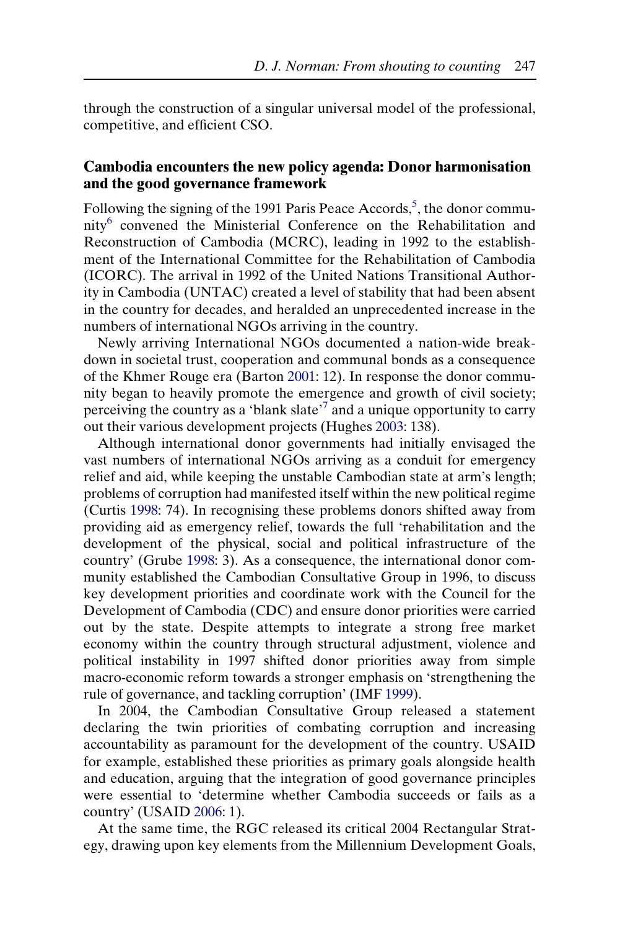through the construction of a singular universal model of the professional, competitive, and efficient CSO.

### Cambodia encounters the new policy agenda: Donor harmonisation and the good governance framework

Following the signing of the 1991 Paris Peace Accords,<sup>[5](#page-19-5)</sup>, the donor commu-nity<sup>[6](#page-19-6)</sup> convened the Ministerial Conference on the Rehabilitation and Reconstruction of Cambodia (MCRC), leading in 1992 to the establishment of the International Committee for the Rehabilitation of Cambodia (ICORC). The arrival in 1992 of the United Nations Transitional Authority in Cambodia (UNTAC) created a level of stability that had been absent in the country for decades, and heralded an unprecedented increase in the numbers of international NGOs arriving in the country.

Newly arriving International NGOs documented a nation-wide breakdown in societal trust, cooperation and communal bonds as a consequence of the Khmer Rouge era (Barton [2001](#page-20-12): 12). In response the donor community began to heavily promote the emergence and growth of civil society; perceiving the country as a 'blank slate'[7](#page-19-7) and a unique opportunity to carry out their various development projects (Hughes [2003](#page-21-5): 138).

Although international donor governments had initially envisaged the vast numbers of international NGOs arriving as a conduit for emergency relief and aid, while keeping the unstable Cambodian state at arm's length; problems of corruption had manifested itself within the new political regime (Curtis [1998:](#page-20-13) 74). In recognising these problems donors shifted away from providing aid as emergency relief, towards the full 'rehabilitation and the development of the physical, social and political infrastructure of the country' (Grube [1998](#page-21-6): 3). As a consequence, the international donor community established the Cambodian Consultative Group in 1996, to discuss key development priorities and coordinate work with the Council for the Development of Cambodia (CDC) and ensure donor priorities were carried out by the state. Despite attempts to integrate a strong free market economy within the country through structural adjustment, violence and political instability in 1997 shifted donor priorities away from simple macro-economic reform towards a stronger emphasis on 'strengthening the rule of governance, and tackling corruption' (IMF [1999\)](#page-21-7).

In 2004, the Cambodian Consultative Group released a statement declaring the twin priorities of combating corruption and increasing accountability as paramount for the development of the country. USAID for example, established these priorities as primary goals alongside health and education, arguing that the integration of good governance principles were essential to 'determine whether Cambodia succeeds or fails as a country' (USAID [2006:](#page-23-12) 1).

At the same time, the RGC released its critical 2004 Rectangular Strategy, drawing upon key elements from the Millennium Development Goals,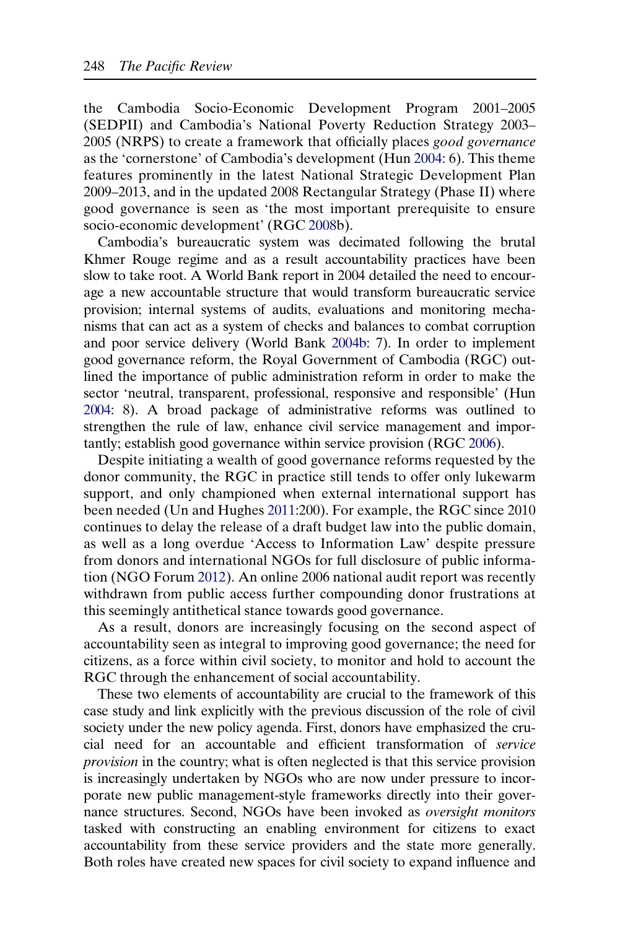the Cambodia Socio-Economic Development Program 2001–2005 (SEDPII) and Cambodia's National Poverty Reduction Strategy 2003– 2005 (NRPS) to create a framework that officially places good governance as the 'cornerstone' of Cambodia's development (Hun [2004:](#page-21-8) 6). This theme features prominently in the latest National Strategic Development Plan 2009–2013, and in the updated 2008 Rectangular Strategy (Phase II) where good governance is seen as 'the most important prerequisite to ensure socio-economic development' (RGC [2008](#page-23-13)b).

Cambodia's bureaucratic system was decimated following the brutal Khmer Rouge regime and as a result accountability practices have been slow to take root. A World Bank report in 2004 detailed the need to encourage a new accountable structure that would transform bureaucratic service provision; internal systems of audits, evaluations and monitoring mechanisms that can act as a system of checks and balances to combat corruption and poor service delivery (World Bank [2004b:](#page-23-14) 7). In order to implement good governance reform, the Royal Government of Cambodia (RGC) outlined the importance of public administration reform in order to make the sector 'neutral, transparent, professional, responsive and responsible' (Hun [2004](#page-21-8): 8). A broad package of administrative reforms was outlined to strengthen the rule of law, enhance civil service management and importantly; establish good governance within service provision (RGC [2006\)](#page-23-15).

Despite initiating a wealth of good governance reforms requested by the donor community, the RGC in practice still tends to offer only lukewarm support, and only championed when external international support has been needed (Un and Hughes [2011](#page-23-16):200). For example, the RGC since 2010 continues to delay the release of a draft budget law into the public domain, as well as a long overdue 'Access to Information Law' despite pressure from donors and international NGOs for full disclosure of public information (NGO Forum [2012](#page-22-10)). An online 2006 national audit report was recently withdrawn from public access further compounding donor frustrations at this seemingly antithetical stance towards good governance.

As a result, donors are increasingly focusing on the second aspect of accountability seen as integral to improving good governance; the need for citizens, as a force within civil society, to monitor and hold to account the RGC through the enhancement of social accountability.

These two elements of accountability are crucial to the framework of this case study and link explicitly with the previous discussion of the role of civil society under the new policy agenda. First, donors have emphasized the crucial need for an accountable and efficient transformation of service provision in the country; what is often neglected is that this service provision is increasingly undertaken by NGOs who are now under pressure to incorporate new public management-style frameworks directly into their governance structures. Second, NGOs have been invoked as oversight monitors tasked with constructing an enabling environment for citizens to exact accountability from these service providers and the state more generally. Both roles have created new spaces for civil society to expand influence and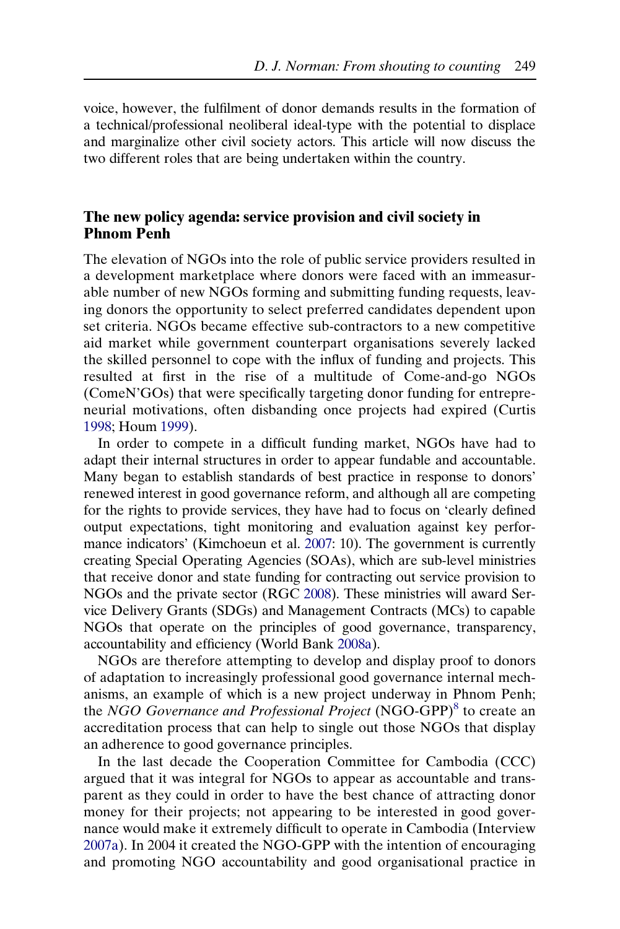voice, however, the fulfilment of donor demands results in the formation of a technical/professional neoliberal ideal-type with the potential to displace and marginalize other civil society actors. This article will now discuss the two different roles that are being undertaken within the country.

## The new policy agenda: service provision and civil society in Phnom Penh

The elevation of NGOs into the role of public service providers resulted in a development marketplace where donors were faced with an immeasurable number of new NGOs forming and submitting funding requests, leaving donors the opportunity to select preferred candidates dependent upon set criteria. NGOs became effective sub-contractors to a new competitive aid market while government counterpart organisations severely lacked the skilled personnel to cope with the influx of funding and projects. This resulted at first in the rise of a multitude of Come-and-go NGOs (ComeN'GOs) that were specifically targeting donor funding for entrepreneurial motivations, often disbanding once projects had expired (Curtis [1998;](#page-20-13) Houm [1999\)](#page-21-9).

In order to compete in a difficult funding market, NGOs have had to adapt their internal structures in order to appear fundable and accountable. Many began to establish standards of best practice in response to donors' renewed interest in good governance reform, and although all are competing for the rights to provide services, they have had to focus on 'clearly defined output expectations, tight monitoring and evaluation against key performance indicators' (Kimchoeun et al. [2007:](#page-22-11) 10). The government is currently creating Special Operating Agencies (SOAs), which are sub-level ministries that receive donor and state funding for contracting out service provision to NGOs and the private sector (RGC [2008](#page-23-13)). These ministries will award Service Delivery Grants (SDGs) and Management Contracts (MCs) to capable NGOs that operate on the principles of good governance, transparency, accountability and efficiency (World Bank [2008a](#page-24-0)).

NGOs are therefore attempting to develop and display proof to donors of adaptation to increasingly professional good governance internal mechanisms, an example of which is a new project underway in Phnom Penh; the NGO Governance and Professional Project  $(NGO-GPP)^8$  $(NGO-GPP)^8$  to create an accreditation process that can help to single out those NGOs that display an adherence to good governance principles.

In the last decade the Cooperation Committee for Cambodia (CCC) argued that it was integral for NGOs to appear as accountable and transparent as they could in order to have the best chance of attracting donor money for their projects; not appearing to be interested in good governance would make it extremely difficult to operate in Cambodia (Interview [2007a\)](#page-21-10). In 2004 it created the NGO-GPP with the intention of encouraging and promoting NGO accountability and good organisational practice in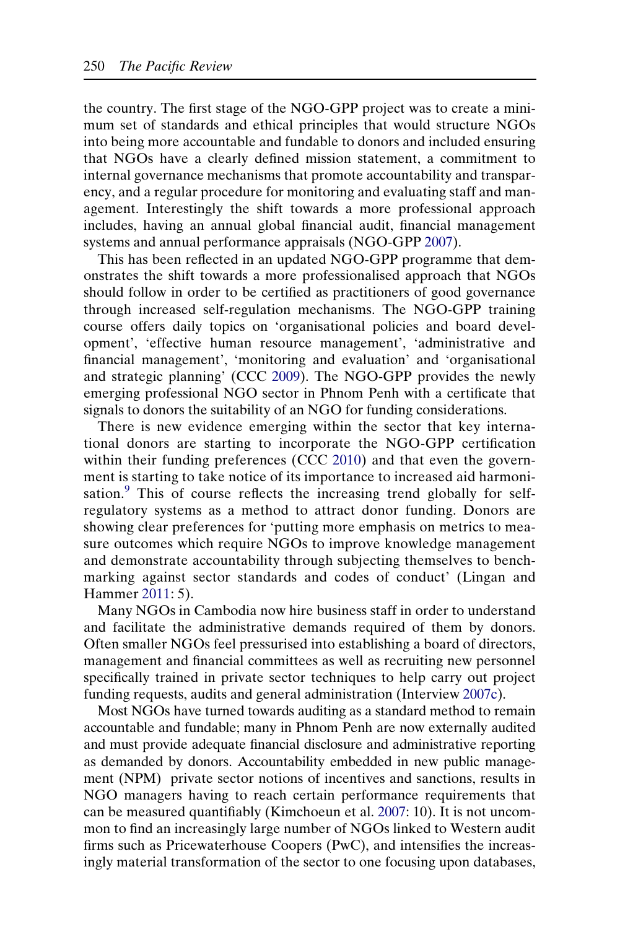the country. The first stage of the NGO-GPP project was to create a minimum set of standards and ethical principles that would structure NGOs into being more accountable and fundable to donors and included ensuring that NGOs have a clearly defined mission statement, a commitment to internal governance mechanisms that promote accountability and transparency, and a regular procedure for monitoring and evaluating staff and management. Interestingly the shift towards a more professional approach includes, having an annual global financial audit, financial management systems and annual performance appraisals (NGO-GPP [2007](#page-22-12)).

This has been reflected in an updated NGO-GPP programme that demonstrates the shift towards a more professionalised approach that NGOs should follow in order to be certified as practitioners of good governance through increased self-regulation mechanisms. The NGO-GPP training course offers daily topics on 'organisational policies and board development', 'effective human resource management', 'administrative and financial management', 'monitoring and evaluation' and 'organisational and strategic planning' (CCC [2009](#page-20-14)). The NGO-GPP provides the newly emerging professional NGO sector in Phnom Penh with a certificate that signals to donors the suitability of an NGO for funding considerations.

There is new evidence emerging within the sector that key international donors are starting to incorporate the NGO-GPP certification within their funding preferences (CCC [2010\)](#page-20-15) and that even the government is starting to take notice of its importance to increased aid harmoni-sation.<sup>[9](#page-19-9)</sup> This of course reflects the increasing trend globally for selfregulatory systems as a method to attract donor funding. Donors are showing clear preferences for 'putting more emphasis on metrics to measure outcomes which require NGOs to improve knowledge management and demonstrate accountability through subjecting themselves to benchmarking against sector standards and codes of conduct' (Lingan and Hammer [2011:](#page-22-13) 5).

Many NGOs in Cambodia now hire business staff in order to understand and facilitate the administrative demands required of them by donors. Often smaller NGOs feel pressurised into establishing a board of directors, management and financial committees as well as recruiting new personnel specifically trained in private sector techniques to help carry out project funding requests, audits and general administration (Interview [2007c](#page-22-14)).

Most NGOs have turned towards auditing as a standard method to remain accountable and fundable; many in Phnom Penh are now externally audited and must provide adequate financial disclosure and administrative reporting as demanded by donors. Accountability embedded in new public management (NPM) private sector notions of incentives and sanctions, results in NGO managers having to reach certain performance requirements that can be measured quantifiably (Kimchoeun et al. [2007:](#page-22-11) 10). It is not uncommon to find an increasingly large number of NGOs linked to Western audit firms such as Pricewaterhouse Coopers (PwC), and intensifies the increasingly material transformation of the sector to one focusing upon databases,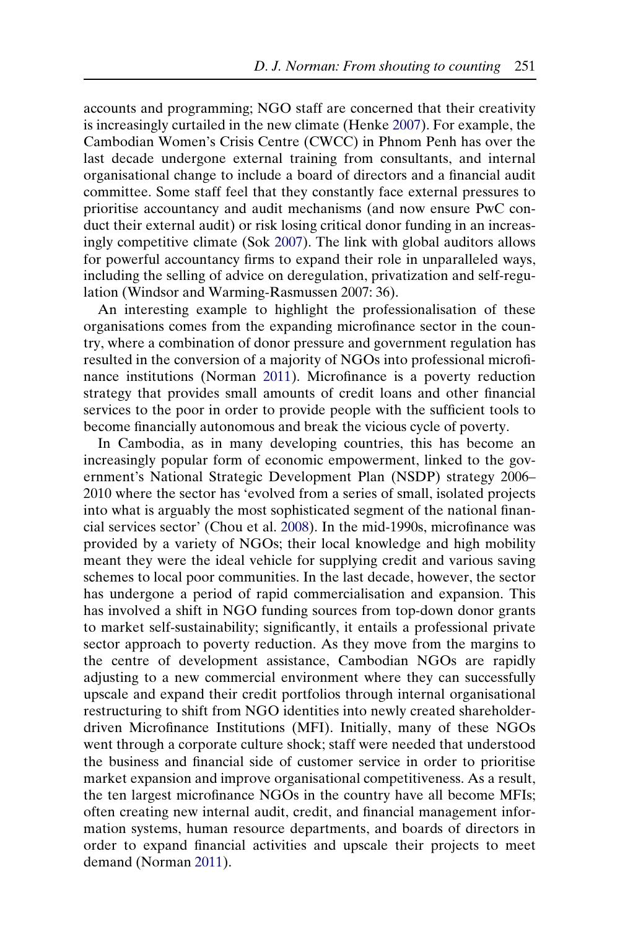accounts and programming; NGO staff are concerned that their creativity is increasingly curtailed in the new climate (Henke [2007](#page-21-11)). For example, the Cambodian Women's Crisis Centre (CWCC) in Phnom Penh has over the last decade undergone external training from consultants, and internal organisational change to include a board of directors and a financial audit committee. Some staff feel that they constantly face external pressures to prioritise accountancy and audit mechanisms (and now ensure PwC conduct their external audit) or risk losing critical donor funding in an increasingly competitive climate (Sok [2007](#page-23-17)). The link with global auditors allows for powerful accountancy firms to expand their role in unparalleled ways, including the selling of advice on deregulation, privatization and self-regulation (Windsor and Warming-Rasmussen 2007: 36).

An interesting example to highlight the professionalisation of these organisations comes from the expanding microfinance sector in the country, where a combination of donor pressure and government regulation has resulted in the conversion of a majority of NGOs into professional microfinance institutions (Norman [2011\)](#page-22-15). Microfinance is a poverty reduction strategy that provides small amounts of credit loans and other financial services to the poor in order to provide people with the sufficient tools to become financially autonomous and break the vicious cycle of poverty.

In Cambodia, as in many developing countries, this has become an increasingly popular form of economic empowerment, linked to the government's National Strategic Development Plan (NSDP) strategy 2006– 2010 where the sector has 'evolved from a series of small, isolated projects into what is arguably the most sophisticated segment of the national financial services sector' (Chou et al. [2008\)](#page-20-16). In the mid-1990s, microfinance was provided by a variety of NGOs; their local knowledge and high mobility meant they were the ideal vehicle for supplying credit and various saving schemes to local poor communities. In the last decade, however, the sector has undergone a period of rapid commercialisation and expansion. This has involved a shift in NGO funding sources from top-down donor grants to market self-sustainability; significantly, it entails a professional private sector approach to poverty reduction. As they move from the margins to the centre of development assistance, Cambodian NGOs are rapidly adjusting to a new commercial environment where they can successfully upscale and expand their credit portfolios through internal organisational restructuring to shift from NGO identities into newly created shareholderdriven Microfinance Institutions (MFI). Initially, many of these NGOs went through a corporate culture shock; staff were needed that understood the business and financial side of customer service in order to prioritise market expansion and improve organisational competitiveness. As a result, the ten largest microfinance NGOs in the country have all become MFIs; often creating new internal audit, credit, and financial management information systems, human resource departments, and boards of directors in order to expand financial activities and upscale their projects to meet demand (Norman [2011](#page-22-15)).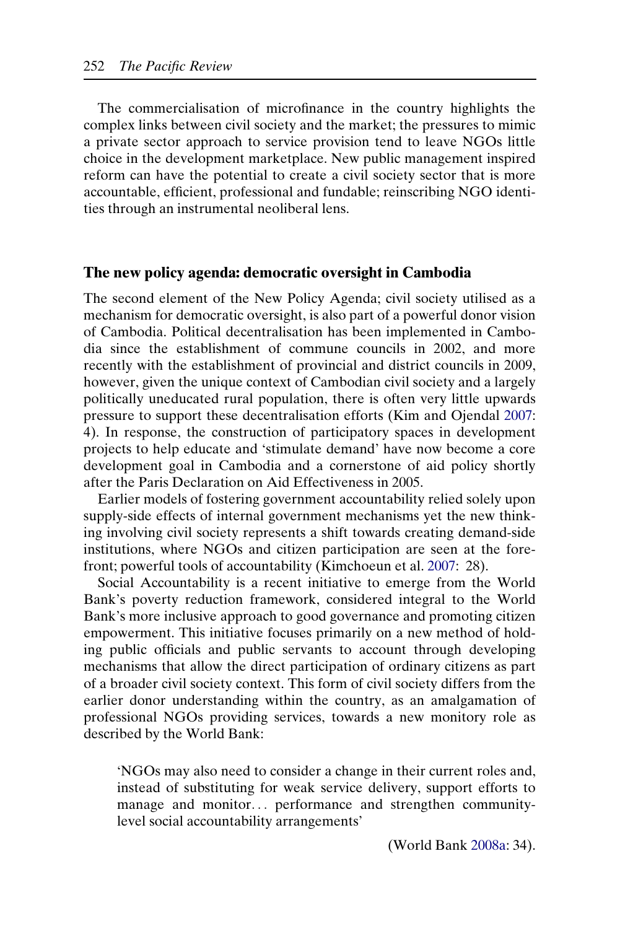The commercialisation of microfinance in the country highlights the complex links between civil society and the market; the pressures to mimic a private sector approach to service provision tend to leave NGOs little choice in the development marketplace. New public management inspired reform can have the potential to create a civil society sector that is more accountable, efficient, professional and fundable; reinscribing NGO identities through an instrumental neoliberal lens.

#### The new policy agenda: democratic oversight in Cambodia

The second element of the New Policy Agenda; civil society utilised as a mechanism for democratic oversight, is also part of a powerful donor vision of Cambodia. Political decentralisation has been implemented in Cambodia since the establishment of commune councils in 2002, and more recently with the establishment of provincial and district councils in 2009, however, given the unique context of Cambodian civil society and a largely politically uneducated rural population, there is often very little upwards pressure to support these decentralisation efforts (Kim and Ojendal [2007](#page-22-16): 4). In response, the construction of participatory spaces in development projects to help educate and 'stimulate demand' have now become a core development goal in Cambodia and a cornerstone of aid policy shortly after the Paris Declaration on Aid Effectiveness in 2005.

Earlier models of fostering government accountability relied solely upon supply-side effects of internal government mechanisms yet the new thinking involving civil society represents a shift towards creating demand-side institutions, where NGOs and citizen participation are seen at the forefront; powerful tools of accountability (Kimchoeun et al. [2007](#page-22-11): 28).

Social Accountability is a recent initiative to emerge from the World Bank's poverty reduction framework, considered integral to the World Bank's more inclusive approach to good governance and promoting citizen empowerment. This initiative focuses primarily on a new method of holding public officials and public servants to account through developing mechanisms that allow the direct participation of ordinary citizens as part of a broader civil society context. This form of civil society differs from the earlier donor understanding within the country, as an amalgamation of professional NGOs providing services, towards a new monitory role as described by the World Bank:

'NGOs may also need to consider a change in their current roles and, instead of substituting for weak service delivery, support efforts to manage and monitor... performance and strengthen communitylevel social accountability arrangements'

(World Bank [2008a](#page-24-0): 34).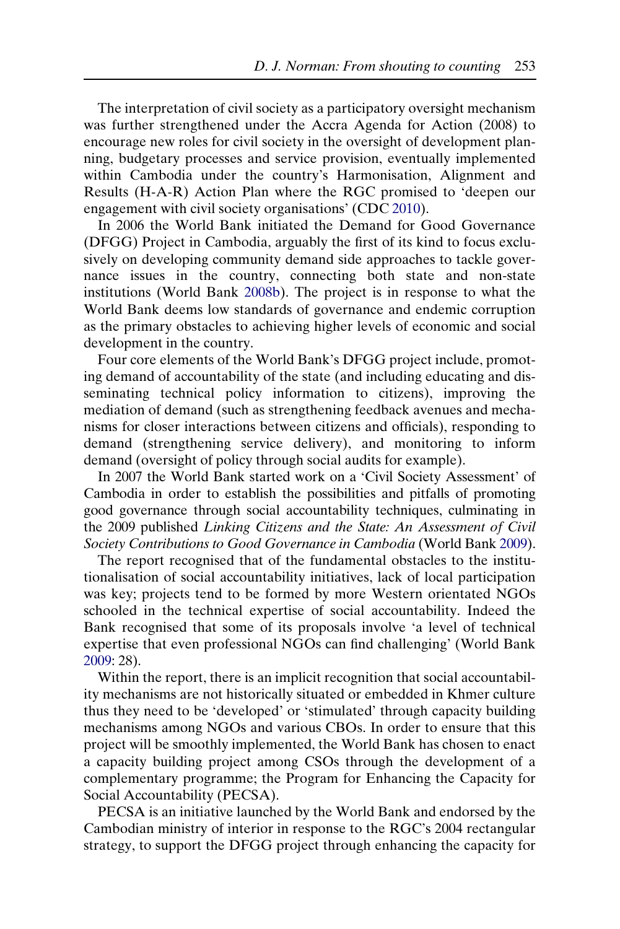The interpretation of civil society as a participatory oversight mechanism was further strengthened under the Accra Agenda for Action (2008) to encourage new roles for civil society in the oversight of development planning, budgetary processes and service provision, eventually implemented within Cambodia under the country's Harmonisation, Alignment and Results (H-A-R) Action Plan where the RGC promised to 'deepen our engagement with civil society organisations' (CDC [2010](#page-20-17)).

In 2006 the World Bank initiated the Demand for Good Governance (DFGG) Project in Cambodia, arguably the first of its kind to focus exclusively on developing community demand side approaches to tackle governance issues in the country, connecting both state and non-state institutions (World Bank [2008b\)](#page-24-1). The project is in response to what the World Bank deems low standards of governance and endemic corruption as the primary obstacles to achieving higher levels of economic and social development in the country.

Four core elements of the World Bank's DFGG project include, promoting demand of accountability of the state (and including educating and disseminating technical policy information to citizens), improving the mediation of demand (such as strengthening feedback avenues and mechanisms for closer interactions between citizens and officials), responding to demand (strengthening service delivery), and monitoring to inform demand (oversight of policy through social audits for example).

In 2007 the World Bank started work on a 'Civil Society Assessment' of Cambodia in order to establish the possibilities and pitfalls of promoting good governance through social accountability techniques, culminating in the 2009 published Linking Citizens and the State: An Assessment of Civil Society Contributions to Good Governance in Cambodia (World Bank [2009](#page-24-2)).

The report recognised that of the fundamental obstacles to the institutionalisation of social accountability initiatives, lack of local participation was key; projects tend to be formed by more Western orientated NGOs schooled in the technical expertise of social accountability. Indeed the Bank recognised that some of its proposals involve 'a level of technical expertise that even professional NGOs can find challenging' (World Bank [2009:](#page-24-2) 28).

Within the report, there is an implicit recognition that social accountability mechanisms are not historically situated or embedded in Khmer culture thus they need to be 'developed' or 'stimulated' through capacity building mechanisms among NGOs and various CBOs. In order to ensure that this project will be smoothly implemented, the World Bank has chosen to enact a capacity building project among CSOs through the development of a complementary programme; the Program for Enhancing the Capacity for Social Accountability (PECSA).

PECSA is an initiative launched by the World Bank and endorsed by the Cambodian ministry of interior in response to the RGC's 2004 rectangular strategy, to support the DFGG project through enhancing the capacity for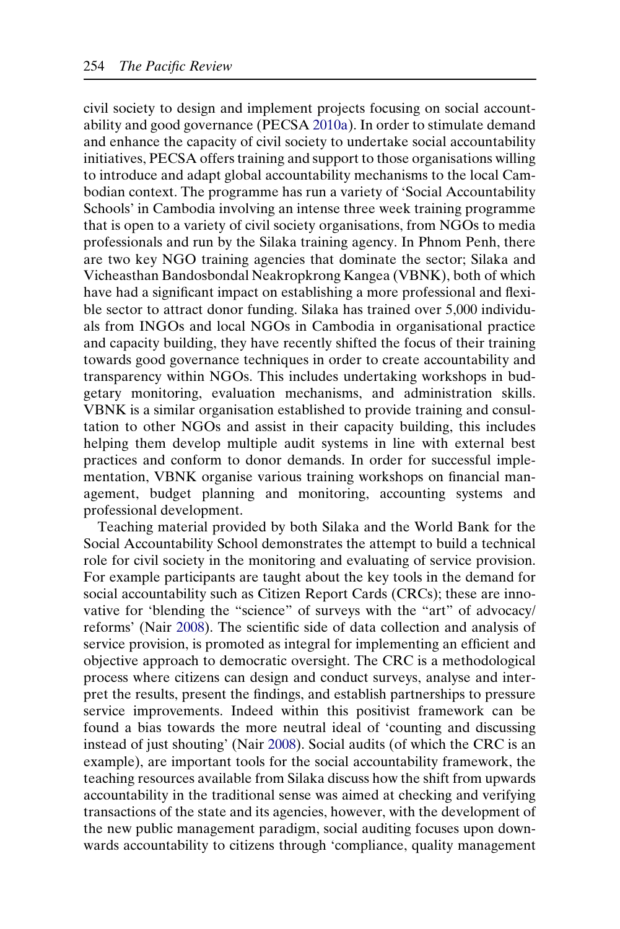civil society to design and implement projects focusing on social accountability and good governance (PECSA [2010a](#page-22-17)). In order to stimulate demand and enhance the capacity of civil society to undertake social accountability initiatives, PECSA offers training and support to those organisations willing to introduce and adapt global accountability mechanisms to the local Cambodian context. The programme has run a variety of 'Social Accountability Schools' in Cambodia involving an intense three week training programme that is open to a variety of civil society organisations, from NGOs to media professionals and run by the Silaka training agency. In Phnom Penh, there are two key NGO training agencies that dominate the sector; Silaka and Vicheasthan Bandosbondal Neakropkrong Kangea (VBNK), both of which have had a significant impact on establishing a more professional and flexible sector to attract donor funding. Silaka has trained over 5,000 individuals from INGOs and local NGOs in Cambodia in organisational practice and capacity building, they have recently shifted the focus of their training towards good governance techniques in order to create accountability and transparency within NGOs. This includes undertaking workshops in budgetary monitoring, evaluation mechanisms, and administration skills. VBNK is a similar organisation established to provide training and consultation to other NGOs and assist in their capacity building, this includes helping them develop multiple audit systems in line with external best practices and conform to donor demands. In order for successful implementation, VBNK organise various training workshops on financial management, budget planning and monitoring, accounting systems and professional development.

Teaching material provided by both Silaka and the World Bank for the Social Accountability School demonstrates the attempt to build a technical role for civil society in the monitoring and evaluating of service provision. For example participants are taught about the key tools in the demand for social accountability such as Citizen Report Cards (CRCs); these are innovative for 'blending the "science" of surveys with the "art" of advocacy/ reforms' (Nair [2008\)](#page-22-18). The scientific side of data collection and analysis of service provision, is promoted as integral for implementing an efficient and objective approach to democratic oversight. The CRC is a methodological process where citizens can design and conduct surveys, analyse and interpret the results, present the findings, and establish partnerships to pressure service improvements. Indeed within this positivist framework can be found a bias towards the more neutral ideal of 'counting and discussing instead of just shouting' (Nair [2008](#page-22-18)). Social audits (of which the CRC is an example), are important tools for the social accountability framework, the teaching resources available from Silaka discuss how the shift from upwards accountability in the traditional sense was aimed at checking and verifying transactions of the state and its agencies, however, with the development of the new public management paradigm, social auditing focuses upon downwards accountability to citizens through 'compliance, quality management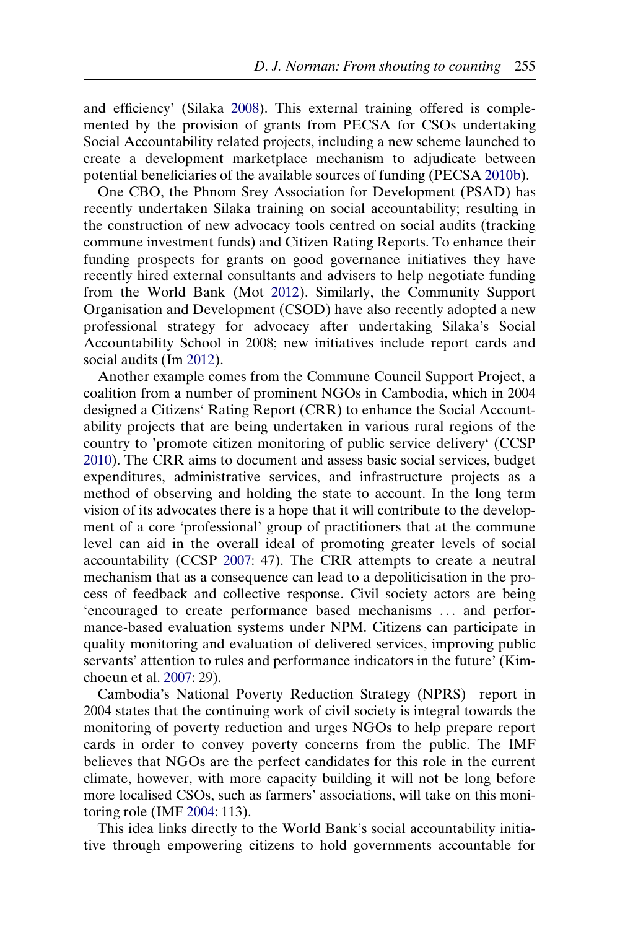and efficiency' (Silaka [2008\)](#page-23-18). This external training offered is complemented by the provision of grants from PECSA for CSOs undertaking Social Accountability related projects, including a new scheme launched to create a development marketplace mechanism to adjudicate between potential beneficiaries of the available sources of funding (PECSA [2010b\)](#page-23-19).

One CBO, the Phnom Srey Association for Development (PSAD) has recently undertaken Silaka training on social accountability; resulting in the construction of new advocacy tools centred on social audits (tracking commune investment funds) and Citizen Rating Reports. To enhance their funding prospects for grants on good governance initiatives they have recently hired external consultants and advisers to help negotiate funding from the World Bank (Mot [2012\)](#page-22-19). Similarly, the Community Support Organisation and Development (CSOD) have also recently adopted a new professional strategy for advocacy after undertaking Silaka's Social Accountability School in 2008; new initiatives include report cards and social audits (Im [2012](#page-21-12)).

Another example comes from the Commune Council Support Project, a coalition from a number of prominent NGOs in Cambodia, which in 2004 designed a Citizens' Rating Report (CRR) to enhance the Social Accountability projects that are being undertaken in various rural regions of the country to 'promote citizen monitoring of public service delivery' (CCSP [2010\)](#page-20-18). The CRR aims to document and assess basic social services, budget expenditures, administrative services, and infrastructure projects as a method of observing and holding the state to account. In the long term vision of its advocates there is a hope that it will contribute to the development of a core 'professional' group of practitioners that at the commune level can aid in the overall ideal of promoting greater levels of social accountability (CCSP [2007](#page-20-19): 47). The CRR attempts to create a neutral mechanism that as a consequence can lead to a depoliticisation in the process of feedback and collective response. Civil society actors are being 'encouraged to create performance based mechanisms ... and performance-based evaluation systems under NPM. Citizens can participate in quality monitoring and evaluation of delivered services, improving public servants' attention to rules and performance indicators in the future' (Kimchoeun et al. [2007:](#page-22-11) 29).

Cambodia's National Poverty Reduction Strategy (NPRS) report in 2004 states that the continuing work of civil society is integral towards the monitoring of poverty reduction and urges NGOs to help prepare report cards in order to convey poverty concerns from the public. The IMF believes that NGOs are the perfect candidates for this role in the current climate, however, with more capacity building it will not be long before more localised CSOs, such as farmers' associations, will take on this monitoring role (IMF [2004](#page-21-13): 113).

This idea links directly to the World Bank's social accountability initiative through empowering citizens to hold governments accountable for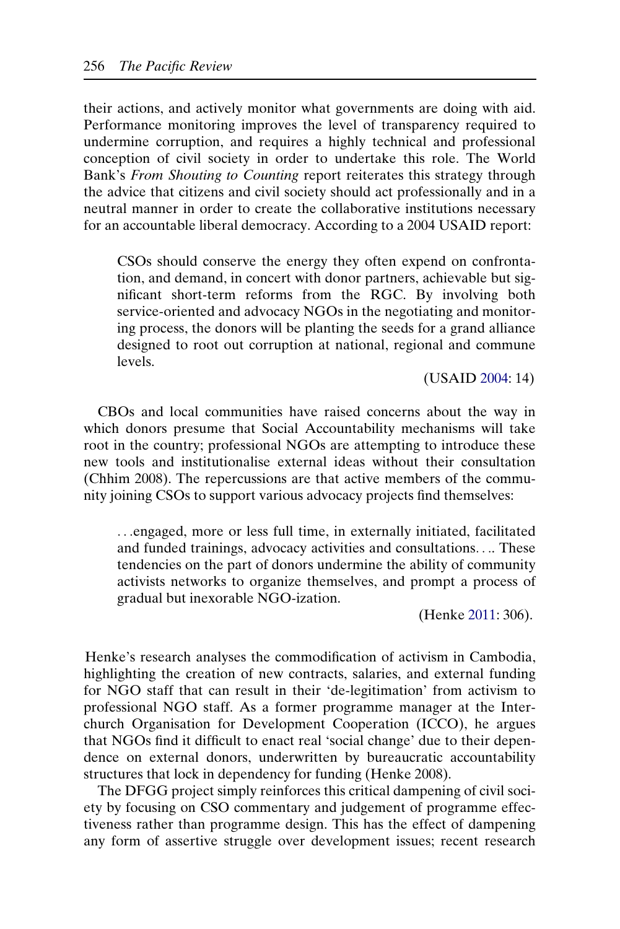their actions, and actively monitor what governments are doing with aid. Performance monitoring improves the level of transparency required to undermine corruption, and requires a highly technical and professional conception of civil society in order to undertake this role. The World Bank's From Shouting to Counting report reiterates this strategy through the advice that citizens and civil society should act professionally and in a neutral manner in order to create the collaborative institutions necessary for an accountable liberal democracy. According to a 2004 USAID report:

CSOs should conserve the energy they often expend on confrontation, and demand, in concert with donor partners, achievable but significant short-term reforms from the RGC. By involving both service-oriented and advocacy NGOs in the negotiating and monitoring process, the donors will be planting the seeds for a grand alliance designed to root out corruption at national, regional and commune levels.

(USAID [2004:](#page-23-20) 14)

CBOs and local communities have raised concerns about the way in which donors presume that Social Accountability mechanisms will take root in the country; professional NGOs are attempting to introduce these new tools and institutionalise external ideas without their consultation (Chhim 2008). The repercussions are that active members of the community joining CSOs to support various advocacy projects find themselves:

...engaged, more or less full time, in externally initiated, facilitated and funded trainings, advocacy activities and consultations.... These tendencies on the part of donors undermine the ability of community activists networks to organize themselves, and prompt a process of gradual but inexorable NGO-ization.

(Henke [2011](#page-21-14): 306).

Henke's research analyses the commodification of activism in Cambodia, highlighting the creation of new contracts, salaries, and external funding for NGO staff that can result in their 'de-legitimation' from activism to professional NGO staff. As a former programme manager at the Interchurch Organisation for Development Cooperation (ICCO), he argues that NGOs find it difficult to enact real 'social change' due to their dependence on external donors, underwritten by bureaucratic accountability structures that lock in dependency for funding (Henke 2008).

The DFGG project simply reinforces this critical dampening of civil society by focusing on CSO commentary and judgement of programme effectiveness rather than programme design. This has the effect of dampening any form of assertive struggle over development issues; recent research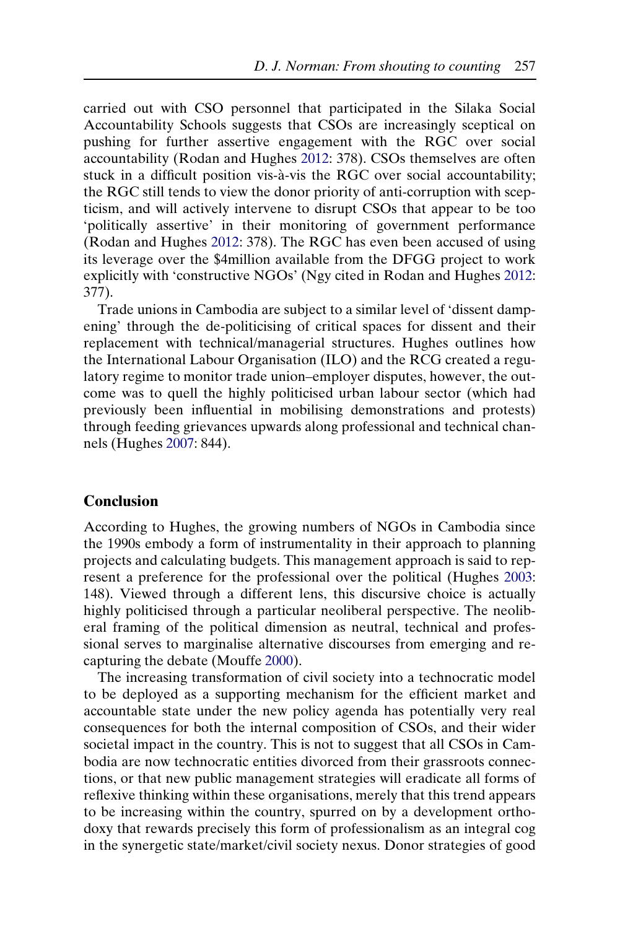carried out with CSO personnel that participated in the Silaka Social Accountability Schools suggests that CSOs are increasingly sceptical on pushing for further assertive engagement with the RGC over social accountability (Rodan and Hughes [2012:](#page-23-21) 378). CSOs themselves are often stuck in a difficult position vis-à-vis the RGC over social accountability; the RGC still tends to view the donor priority of anti-corruption with scepticism, and will actively intervene to disrupt CSOs that appear to be too 'politically assertive' in their monitoring of government performance (Rodan and Hughes [2012:](#page-23-21) 378). The RGC has even been accused of using its leverage over the \$4million available from the DFGG project to work explicitly with 'constructive NGOs' (Ngy cited in Rodan and Hughes [2012](#page-23-21): 377).

Trade unions in Cambodia are subject to a similar level of 'dissent dampening' through the de-politicising of critical spaces for dissent and their replacement with technical/managerial structures. Hughes outlines how the International Labour Organisation (ILO) and the RCG created a regulatory regime to monitor trade union–employer disputes, however, the outcome was to quell the highly politicised urban labour sector (which had previously been influential in mobilising demonstrations and protests) through feeding grievances upwards along professional and technical channels (Hughes [2007:](#page-21-15) 844).

#### **Conclusion**

According to Hughes, the growing numbers of NGOs in Cambodia since the 1990s embody a form of instrumentality in their approach to planning projects and calculating budgets. This management approach is said to represent a preference for the professional over the political (Hughes [2003](#page-21-5): 148). Viewed through a different lens, this discursive choice is actually highly politicised through a particular neoliberal perspective. The neoliberal framing of the political dimension as neutral, technical and professional serves to marginalise alternative discourses from emerging and recapturing the debate (Mouffe [2000](#page-22-20)).

The increasing transformation of civil society into a technocratic model to be deployed as a supporting mechanism for the efficient market and accountable state under the new policy agenda has potentially very real consequences for both the internal composition of CSOs, and their wider societal impact in the country. This is not to suggest that all CSOs in Cambodia are now technocratic entities divorced from their grassroots connections, or that new public management strategies will eradicate all forms of reflexive thinking within these organisations, merely that this trend appears to be increasing within the country, spurred on by a development orthodoxy that rewards precisely this form of professionalism as an integral cog in the synergetic state/market/civil society nexus. Donor strategies of good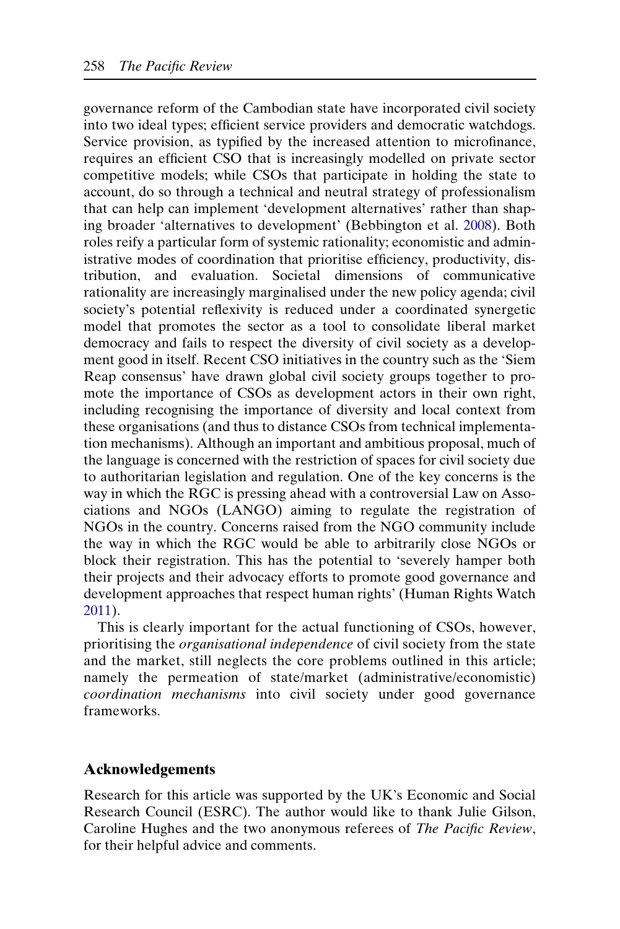governance reform of the Cambodian state have incorporated civil society into two ideal types; efficient service providers and democratic watchdogs. Service provision, as typified by the increased attention to microfinance, requires an efficient CSO that is increasingly modelled on private sector competitive models; while CSOs that participate in holding the state to account, do so through a technical and neutral strategy of professionalism that can help can implement 'development alternatives' rather than shaping broader 'alternatives to development' (Bebbington et al. [2008\)](#page-20-20). Both roles reify a particular form of systemic rationality; economistic and administrative modes of coordination that prioritise efficiency, productivity, distribution, and evaluation. Societal dimensions of communicative Societal dimensions of communicative. rationality are increasingly marginalised under the new policy agenda; civil society's potential reflexivity is reduced under a coordinated synergetic model that promotes the sector as a tool to consolidate liberal market democracy and fails to respect the diversity of civil society as a development good in itself. Recent CSO initiatives in the country such as the 'Siem Reap consensus' have drawn global civil society groups together to promote the importance of CSOs as development actors in their own right, including recognising the importance of diversity and local context from these organisations (and thus to distance CSOs from technical implementation mechanisms). Although an important and ambitious proposal, much of the language is concerned with the restriction of spaces for civil society due to authoritarian legislation and regulation. One of the key concerns is the way in which the RGC is pressing ahead with a controversial Law on Associations and NGOs (LANGO) aiming to regulate the registration of NGOs in the country. Concerns raised from the NGO community include the way in which the RGC would be able to arbitrarily close NGOs or block their registration. This has the potential to 'severely hamper both their projects and their advocacy efforts to promote good governance and development approaches that respect human rights' (Human Rights Watch [2011\)](#page-21-16).

This is clearly important for the actual functioning of CSOs, however, prioritising the organisational independence of civil society from the state and the market, still neglects the core problems outlined in this article; namely the permeation of state/market (administrative/economistic) coordination mechanisms into civil society under good governance frameworks.

### Acknowledgements

Research for this article was supported by the UK's Economic and Social Research Council (ESRC). The author would like to thank Julie Gilson, Caroline Hughes and the two anonymous referees of The Pacific Review, for their helpful advice and comments.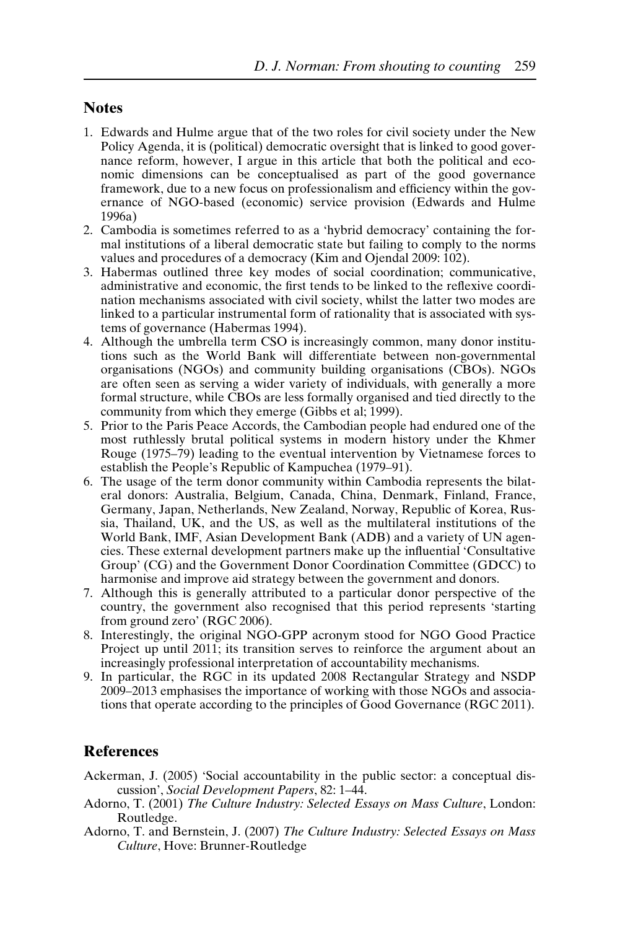## **Notes**

- <span id="page-19-0"></span>1. Edwards and Hulme argue that of the two roles for civil society under the New Policy Agenda, it is (political) democratic oversight that is linked to good governance reform, however, I argue in this article that both the political and economic dimensions can be conceptualised as part of the good governance framework, due to a new focus on professionalism and efficiency within the governance of NGO-based (economic) service provision (Edwards and Hulme 1996a)
- <span id="page-19-1"></span>2. Cambodia is sometimes referred to as a 'hybrid democracy' containing the formal institutions of a liberal democratic state but failing to comply to the norms values and procedures of a democracy (Kim and Ojendal 2009: 102).
- <span id="page-19-2"></span>3. Habermas outlined three key modes of social coordination; communicative, administrative and economic, the first tends to be linked to the reflexive coordination mechanisms associated with civil society, whilst the latter two modes are linked to a particular instrumental form of rationality that is associated with systems of governance (Habermas 1994).
- <span id="page-19-3"></span>4. Although the umbrella term CSO is increasingly common, many donor institutions such as the World Bank will differentiate between non-governmental organisations (NGOs) and community building organisations (CBOs). NGOs are often seen as serving a wider variety of individuals, with generally a more formal structure, while CBOs are less formally organised and tied directly to the community from which they emerge (Gibbs et al; 1999).
- <span id="page-19-5"></span>5. Prior to the Paris Peace Accords, the Cambodian people had endured one of the most ruthlessly brutal political systems in modern history under the Khmer Rouge (1975–79) leading to the eventual intervention by Vietnamese forces to establish the People's Republic of Kampuchea (1979–91).
- <span id="page-19-6"></span>6. The usage of the term donor community within Cambodia represents the bilateral donors: Australia, Belgium, Canada, China, Denmark, Finland, France, Germany, Japan, Netherlands, New Zealand, Norway, Republic of Korea, Russia, Thailand, UK, and the US, as well as the multilateral institutions of the World Bank, IMF, Asian Development Bank (ADB) and a variety of UN agencies. These external development partners make up the influential 'Consultative Group' (CG) and the Government Donor Coordination Committee (GDCC) to harmonise and improve aid strategy between the government and donors.
- <span id="page-19-7"></span>7. Although this is generally attributed to a particular donor perspective of the country, the government also recognised that this period represents 'starting from ground zero' (RGC 2006).
- <span id="page-19-8"></span>8. Interestingly, the original NGO-GPP acronym stood for NGO Good Practice Project up until 2011; its transition serves to reinforce the argument about an increasingly professional interpretation of accountability mechanisms.
- <span id="page-19-9"></span>9. In particular, the RGC in its updated 2008 Rectangular Strategy and NSDP 2009–2013 emphasises the importance of working with those NGOs and associations that operate according to the principles of Good Governance (RGC 2011).

## References

- <span id="page-19-4"></span>Ackerman, J. (2005) 'Social accountability in the public sector: a conceptual discussion', Social Development Papers, 82: 1–44.
- Adorno, T. (2001) The Culture Industry: Selected Essays on Mass Culture, London: Routledge.
- Adorno, T. and Bernstein, J. (2007) The Culture Industry: Selected Essays on Mass Culture, Hove: Brunner-Routledge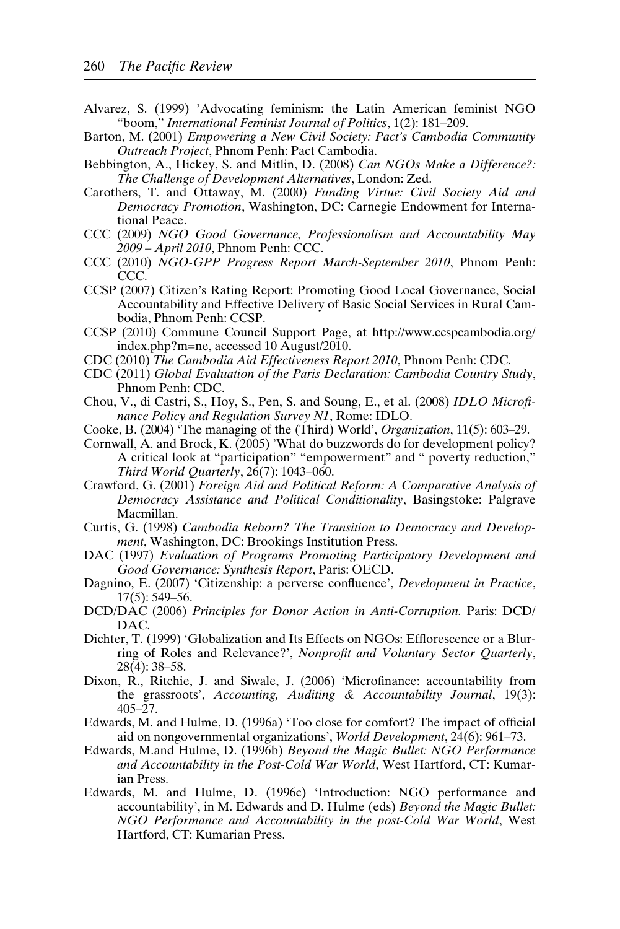- <span id="page-20-3"></span>Alvarez, S. (1999) 'Advocating feminism: the Latin American feminist NGO "boom," International Feminist Journal of Politics, 1(2): 181–209.
- <span id="page-20-12"></span>Barton, M. (2001) Empowering a New Civil Society: Pact's Cambodia Community Outreach Project, Phnom Penh: Pact Cambodia.
- <span id="page-20-20"></span>Bebbington, A., Hickey, S. and Mitlin, D. (2008) Can NGOs Make a Difference?: The Challenge of Development Alternatives, London: Zed.
- <span id="page-20-8"></span>Carothers, T. and Ottaway, M. (2000) Funding Virtue: Civil Society Aid and Democracy Promotion, Washington, DC: Carnegie Endowment for International Peace.
- <span id="page-20-14"></span>CCC (2009) NGO Good Governance, Professionalism and Accountability May 2009 – April 2010, Phnom Penh: CCC.
- <span id="page-20-15"></span>CCC (2010) NGO-GPP Progress Report March-September 2010, Phnom Penh: CCC.
- <span id="page-20-19"></span>CCSP (2007) Citizen's Rating Report: Promoting Good Local Governance, Social Accountability and Effective Delivery of Basic Social Services in Rural Cambodia, Phnom Penh: CCSP.
- <span id="page-20-18"></span>CCSP (2010) Commune Council Support Page, at [http://www.ccspcambodia.org/](http://www.ccspcambodia.org/index.php?m=ne,accessed10August/2010) [index.php?m=ne, accessed 10 August/2010.](http://www.ccspcambodia.org/index.php?m=ne,accessed10August/2010)
- <span id="page-20-17"></span>CDC (2010) The Cambodia Aid Effectiveness Report 2010, Phnom Penh: CDC.
- CDC (2011) Global Evaluation of the Paris Declaration: Cambodia Country Study, Phnom Penh: CDC.
- <span id="page-20-16"></span>Chou, V., di Castri, S., Hoy, S., Pen, S. and Soung, E., et al. (2008) IDLO Microfinance Policy and Regulation Survey N1, Rome: IDLO.
- <span id="page-20-11"></span>Cooke, B. (2004) 'The managing of the (Third) World', Organization, 11(5): 603–29.
- <span id="page-20-1"></span>Cornwall, A. and Brock, K. (2005) 'What do buzzwords do for development policy? A critical look at "participation" "empowerment" and " poverty reduction," Third World Quarterly,  $2\dot{6}(7)$ : 1043–060.
- <span id="page-20-6"></span>Crawford, G. (2001) Foreign Aid and Political Reform: A Comparative Analysis of Democracy Assistance and Political Conditionality, Basingstoke: Palgrave Macmillan.
- <span id="page-20-13"></span>Curtis, G. (1998) Cambodia Reborn? The Transition to Democracy and Development, Washington, DC: Brookings Institution Press.
- <span id="page-20-4"></span>DAC (1997) Evaluation of Programs Promoting Participatory Development and Good Governance: Synthesis Report, Paris: OECD.
- <span id="page-20-0"></span>Dagnino, E. (2007) 'Citizenship: a perverse confluence', Development in Practice, 17(5): 549–56.
- DCD/DAC (2006) Principles for Donor Action in Anti-Corruption. Paris: DCD/ DAC.
- <span id="page-20-9"></span>Dichter, T. (1999) 'Globalization and Its Effects on NGOs: Efflorescence or a Blurring of Roles and Relevance?', Nonprofit and Voluntary Sector Quarterly, 28(4): 38–58.
- <span id="page-20-10"></span>Dixon, R., Ritchie, J. and Siwale, J. (2006) 'Microfinance: accountability from the grassroots', Accounting, Auditing & Accountability Journal, 19(3): 405–27.
- <span id="page-20-2"></span>Edwards, M. and Hulme, D. (1996a) 'Too close for comfort? The impact of official aid on nongovernmental organizations', World Development, 24(6): 961–73.
- <span id="page-20-5"></span>Edwards, M.and Hulme, D. (1996b) Beyond the Magic Bullet: NGO Performance and Accountability in the Post-Cold War World, West Hartford, CT: Kumarian Press.
- <span id="page-20-7"></span>Edwards, M. and Hulme, D. (1996c) 'Introduction: NGO performance and accountability', in M. Edwards and D. Hulme (eds) Beyond the Magic Bullet: NGO Performance and Accountability in the post-Cold War World, West Hartford, CT: Kumarian Press.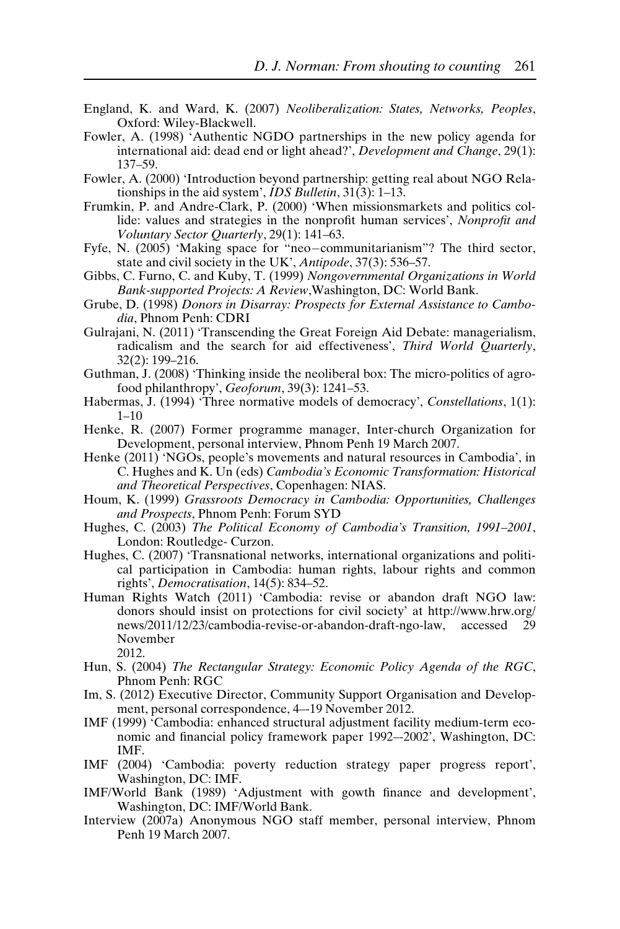- <span id="page-21-0"></span>England, K. and Ward, K. (2007) Neoliberalization: States, Networks, Peoples, Oxford: Wiley-Blackwell.
- Fowler, A. (1998) 'Authentic NGDO partnerships in the new policy agenda for international aid: dead end or light ahead?', Development and Change, 29(1): 137–59.
- <span id="page-21-4"></span>Fowler, A. (2000) 'Introduction beyond partnership: getting real about NGO Relationships in the aid system', *IDS Bulletin*,  $31(3)$ : 1–13.
- <span id="page-21-1"></span>Frumkin, P. and Andre-Clark, P. (2000) 'When missionsmarkets and politics collide: values and strategies in the nonprofit human services', Nonprofit and Voluntary Sector Quarterly, 29(1): 141–63.
- <span id="page-21-3"></span>Fyfe, N. (2005) 'Making space for "neo-communitarianism"? The third sector, state and civil society in the UK', Antipode, 37(3): 536–57.
- Gibbs, C. Furno, C. and Kuby, T. (1999) Nongovernmental Organizations in World Bank-supported Projects: A Review,Washington, DC: World Bank.
- <span id="page-21-6"></span>Grube, D. (1998) Donors in Disarray: Prospects for External Assistance to Cambodia, Phnom Penh: CDRI
- Gulrajani, N. (2011) 'Transcending the Great Foreign Aid Debate: managerialism, radicalism and the search for aid effectiveness', Third World Quarterly, 32(2): 199–216.
- <span id="page-21-2"></span>Guthman, J. (2008) 'Thinking inside the neoliberal box: The micro-politics of agrofood philanthropy', Geoforum, 39(3): 1241–53.
- Habermas, J. (1994) 'Three normative models of democracy', Constellations, 1(1): 1–10
- <span id="page-21-11"></span>Henke, R. (2007) Former programme manager, Inter-church Organization for Development, personal interview, Phnom Penh 19 March 2007.
- <span id="page-21-14"></span>Henke (2011) 'NGOs, people's movements and natural resources in Cambodia', in C. Hughes and K. Un (eds) Cambodia's Economic Transformation: Historical and Theoretical Perspectives, Copenhagen: NIAS.
- <span id="page-21-9"></span>Houm, K. (1999) Grassroots Democracy in Cambodia: Opportunities, Challenges and Prospects, Phnom Penh: Forum SYD
- <span id="page-21-5"></span>Hughes, C. (2003) The Political Economy of Cambodia's Transition, 1991–2001, London: Routledge- Curzon.
- <span id="page-21-15"></span>Hughes, C. (2007) 'Transnational networks, international organizations and political participation in Cambodia: human rights, labour rights and common rights', Democratisation, 14(5): 834–52.
- <span id="page-21-16"></span>Human Rights Watch (2011) 'Cambodia: revise or abandon draft NGO law: donors should insist on protections for civil society' at [http://www.hrw.org/](http://www.hrw.org/news/2011/12/23/cambodia-revise-or-abandon-draft-ngo-law,accessed29November2012) [news/2011/12/23/cambodia-revise-or-abandon-draft-ngo-law, accessed 29](http://www.hrw.org/news/2011/12/23/cambodia-revise-or-abandon-draft-ngo-law,accessed29November2012) [November](http://www.hrw.org/news/2011/12/23/cambodia-revise-or-abandon-draft-ngo-law,accessed29November2012) [2012](http://www.hrw.org/news/2011/12/23/cambodia-revise-or-abandon-draft-ngo-law,accessed29November2012).
- <span id="page-21-8"></span>Hun, S. (2004) The Rectangular Strategy: Economic Policy Agenda of the RGC, Phnom Penh: RGC
- <span id="page-21-12"></span>Im, S. (2012) Executive Director, Community Support Organisation and Development, personal correspondence, 4–-19 November 2012.
- <span id="page-21-7"></span>IMF (1999) 'Cambodia: enhanced structural adjustment facility medium-term economic and financial policy framework paper 1992–-2002', Washington, DC: IMF.
- <span id="page-21-13"></span>IMF (2004) 'Cambodia: poverty reduction strategy paper progress report', Washington, DC: IMF.
- IMF/World Bank (1989) 'Adjustment with gowth finance and development', Washington, DC: IMF/World Bank.
- <span id="page-21-10"></span>Interview (2007a) Anonymous NGO staff member, personal interview, Phnom Penh 19 March 2007.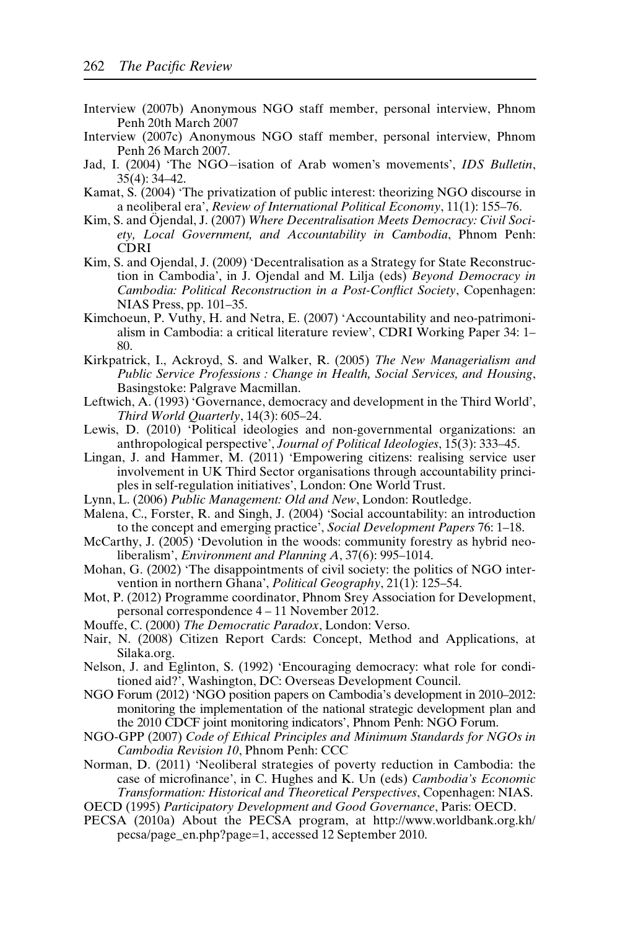- Interview (2007b) Anonymous NGO staff member, personal interview, Phnom Penh 20th March 2007
- <span id="page-22-14"></span>Interview (2007c) Anonymous NGO staff member, personal interview, Phnom Penh 26 March 2007.
- <span id="page-22-0"></span>Jad, I. (2004) 'The NGO-isation of Arab women's movements', IDS Bulletin, 35(4): 34–42.
- <span id="page-22-1"></span>Kamat, S. (2004) 'The privatization of public interest: theorizing NGO discourse in a neoliberal era', Review of International Political Economy, 11(1): 155–76.
- <span id="page-22-16"></span>Kim, S. and Öjendal, J. (2007) Where Decentralisation Meets Democracy: Civil Society, Local Government, and Accountability in Cambodia, Phnom Penh: CDRI
- Kim, S. and Ojendal, J. (2009) 'Decentralisation as a Strategy for State Reconstruction in Cambodia', in J. Ojendal and M. Lilja (eds) Beyond Democracy in Cambodia: Political Reconstruction in a Post-Conflict Society, Copenhagen: NIAS Press, pp. 101–35.
- <span id="page-22-11"></span>Kimchoeun, P. Vuthy, H. and Netra, E. (2007) 'Accountability and neo-patrimonialism in Cambodia: a critical literature review', CDRI Working Paper 34: 1– 80.
- <span id="page-22-6"></span>Kirkpatrick, I., Ackroyd, S. and Walker, R. (2005) The New Managerialism and Public Service Professions : Change in Health, Social Services, and Housing, Basingstoke: Palgrave Macmillan.
- <span id="page-22-4"></span>Leftwich, A. (1993) 'Governance, democracy and development in the Third World', Third World Quarterly, 14(3): 605–24.
- <span id="page-22-7"></span>Lewis, D. (2010) 'Political ideologies and non-governmental organizations: an anthropological perspective', Journal of Political Ideologies, 15(3): 333-45.
- <span id="page-22-13"></span>Lingan, J. and Hammer, M. (2011) 'Empowering citizens: realising service user involvement in UK Third Sector organisations through accountability principles in self-regulation initiatives', London: One World Trust.
- <span id="page-22-5"></span>Lynn, L. (2006) Public Management: Old and New, London: Routledge.
- Malena, C., Forster, R. and Singh, J. (2004) 'Social accountability: an introduction to the concept and emerging practice', Social Development Papers 76: 1–18.
- <span id="page-22-2"></span>McCarthy, J. (2005) 'Devolution in the woods: community forestry as hybrid neoliberalism', Environment and Planning A, 37(6): 995–1014.
- <span id="page-22-8"></span>Mohan, G. (2002) 'The disappointments of civil society: the politics of NGO intervention in northern Ghana', Political Geography, 21(1): 125–54.
- <span id="page-22-19"></span>Mot, P. (2012) Programme coordinator, Phnom Srey Association for Development, personal correspondence 4 – 11 November 2012.
- <span id="page-22-20"></span>Mouffe, C. (2000) The Democratic Paradox, London: Verso.
- <span id="page-22-18"></span>Nair, N. (2008) Citizen Report Cards: Concept, Method and Applications, at Silaka.org.
- <span id="page-22-3"></span>Nelson, J. and Eglinton, S. (1992) 'Encouraging democracy: what role for conditioned aid?', Washington, DC: Overseas Development Council.
- <span id="page-22-10"></span>NGO Forum (2012) 'NGO position papers on Cambodia's development in 2010–2012: monitoring the implementation of the national strategic development plan and the 2010 CDCF joint monitoring indicators', Phnom Penh: NGO Forum.
- <span id="page-22-12"></span>NGO-GPP (2007) Code of Ethical Principles and Minimum Standards for NGOs in Cambodia Revision 10, Phnom Penh: CCC
- <span id="page-22-15"></span>Norman, D. (2011) 'Neoliberal strategies of poverty reduction in Cambodia: the case of microfinance', in C. Hughes and K. Un (eds) Cambodia's Economic Transformation: Historical and Theoretical Perspectives, Copenhagen: NIAS.
- <span id="page-22-9"></span>OECD (1995) Participatory Development and Good Governance, Paris: OECD.
- <span id="page-22-17"></span>PECSA (2010a) About the PECSA program, at [http://www.worldbank.org.kh/](http://wwwworldbankorgkh/pecsa/page_en.php?page=1,accessed12September2010) [pecsa/page\\_en.php?page=1, accessed 12 September 2010.](http://wwwworldbankorgkh/pecsa/page_en.php?page=1,accessed12September2010)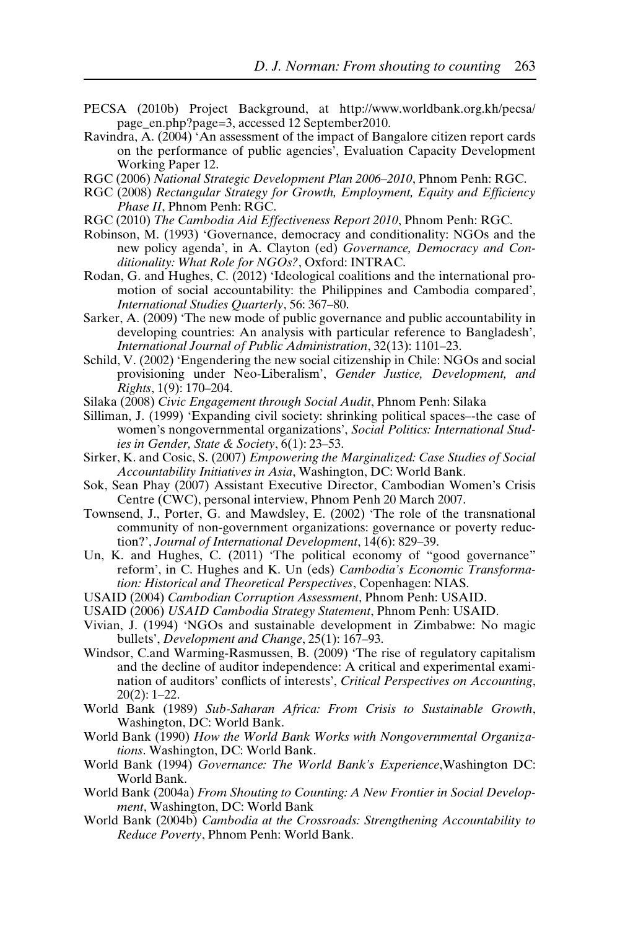- <span id="page-23-19"></span>PECSA (2010b) Project Background, at [http://www.worldbank.org.kh/pecsa/](http://www.worldbank.org.kh/pecsa/page_en.php?page=3,accessed12September2010) [page\\_en.php?page=3, accessed 12 September2010.](http://www.worldbank.org.kh/pecsa/page_en.php?page=3,accessed12September2010)
- <span id="page-23-10"></span>Ravindra, A.  $(2004)$  'An assessment of the impact of Bangalore citizen report cards on the performance of public agencies', Evaluation Capacity Development Working Paper 12.
- <span id="page-23-15"></span>RGC (2006) National Strategic Development Plan 2006–2010, Phnom Penh: RGC.
- <span id="page-23-13"></span>RGC (2008) Rectangular Strategy for Growth, Employment, Equity and Efficiency Phase II, Phnom Penh: RGC.
- RGC (2010) The Cambodia Aid Effectiveness Report 2010, Phnom Penh: RGC.
- <span id="page-23-3"></span>Robinson, M. (1993) 'Governance, democracy and conditionality: NGOs and the new policy agenda', in A. Clayton (ed) Governance, Democracy and Conditionality: What Role for NGOs?, Oxford: INTRAC.
- <span id="page-23-21"></span>Rodan, G. and Hughes, C. (2012) 'Ideological coalitions and the international promotion of social accountability: the Philippines and Cambodia compared', International Studies Quarterly, 56: 367–80.
- <span id="page-23-4"></span>Sarker, A. (2009) 'The new mode of public governance and public accountability in developing countries: An analysis with particular reference to Bangladesh', International Journal of Public Administration, 32(13): 1101–23.
- <span id="page-23-0"></span>Schild, V. (2002) 'Engendering the new social citizenship in Chile: NGOs and social provisioning under Neo-Liberalism', Gender Justice, Development, and Rights, 1(9): 170–204.
- <span id="page-23-18"></span>Silaka (2008) Civic Engagement through Social Audit, Phnom Penh: Silaka
- <span id="page-23-8"></span>Silliman, J. (1999) 'Expanding civil society: shrinking political spaces–-the case of women's nongovernmental organizations', Social Politics: International Studies in Gender, State & Society, 6(1): 23–53.
- <span id="page-23-9"></span>Sirker, K. and Cosic, S. (2007) Empowering the Marginalized: Case Studies of Social Accountability Initiatives in Asia, Washington, DC: World Bank.
- <span id="page-23-17"></span>Sok, Sean Phay (2007) Assistant Executive Director, Cambodian Women's Crisis Centre (CWC), personal interview, Phnom Penh 20 March 2007.
- <span id="page-23-1"></span>Townsend, J., Porter, G. and Mawdsley, E. (2002) 'The role of the transnational community of non-government organizations: governance or poverty reduction?', Journal of International Development, 14(6): 829–39.
- <span id="page-23-16"></span>Un, K. and Hughes, C. (2011) 'The political economy of "good governance" reform', in C. Hughes and K. Un (eds) Cambodia's Economic Transformation: Historical and Theoretical Perspectives, Copenhagen: NIAS.
- <span id="page-23-20"></span>USAID (2004) Cambodian Corruption Assessment, Phnom Penh: USAID.
- <span id="page-23-12"></span>USAID (2006) USAID Cambodia Strategy Statement, Phnom Penh: USAID.
- <span id="page-23-6"></span>Vivian, J. (1994) 'NGOs and sustainable development in Zimbabwe: No magic bullets', Development and Change, 25(1): 167–93.
- Windsor, C.and Warming-Rasmussen, B. (2009) 'The rise of regulatory capitalism and the decline of auditor independence: A critical and experimental examination of auditors' conflicts of interests', Critical Perspectives on Accounting, 20(2): 1–22.
- <span id="page-23-2"></span>World Bank (1989) Sub-Saharan Africa: From Crisis to Sustainable Growth, Washington, DC: World Bank.
- <span id="page-23-7"></span>World Bank (1990) How the World Bank Works with Nongovernmental Organizations. Washington, DC: World Bank.
- <span id="page-23-5"></span>World Bank (1994) Governance: The World Bank's Experience,Washington DC: World Bank.
- <span id="page-23-11"></span>World Bank (2004a) From Shouting to Counting: A New Frontier in Social Development, Washington, DC: World Bank
- <span id="page-23-14"></span>World Bank (2004b) Cambodia at the Crossroads: Strengthening Accountability to Reduce Poverty, Phnom Penh: World Bank.